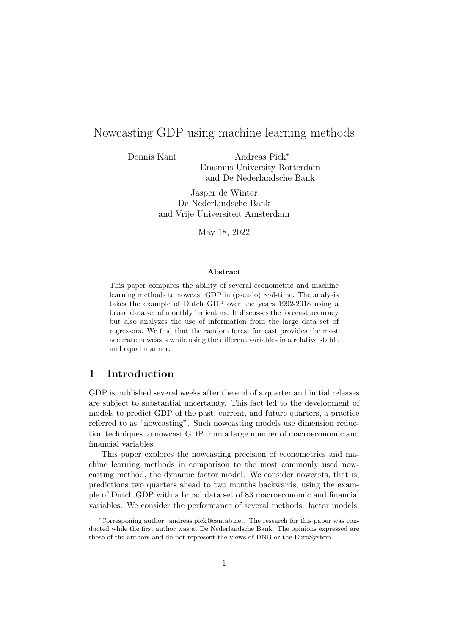# Nowcasting GDP using machine learning methods

Dennis Kant Andreas Pick<sup>∗</sup> Erasmus University Rotterdam and De Nederlandsche Bank

> Jasper de Winter De Nederlandsche Bank and Vrije Universiteit Amsterdam

> > May 18, 2022

#### Abstract

This paper compares the ability of several econometric and machine learning methods to nowcast GDP in (pseudo) real-time. The analysis takes the example of Dutch GDP over the years 1992-2018 using a broad data set of monthly indicators. It discusses the forecast accuracy but also analyzes the use of information from the large data set of regressors. We find that the random forest forecast provides the most accurate nowcasts while using the different variables in a relative stable and equal manner.

# 1 Introduction

GDP is published several weeks after the end of a quarter and initial releases are subject to substantial uncertainty. This fact led to the development of models to predict GDP of the past, current, and future quarters, a practice referred to as "nowcasting". Such nowcasting models use dimension reduction techniques to nowcast GDP from a large number of macroeconomic and financial variables.

This paper explores the nowcasting precision of econometrics and machine learning methods in comparison to the most commonly used nowcasting method, the dynamic factor model. We consider nowcasts, that is, predictions two quarters ahead to two months backwards, using the example of Dutch GDP with a broad data set of 83 macroeconomic and financial variables. We consider the performance of several methods: factor models,

<sup>∗</sup>Corresponing author: andreas.pick@cantab.net. The research for this paper was conducted while the first author was at De Nederlandsche Bank. The opinions expressed are those of the authors and do not represent the views of DNB or the EuroSystem.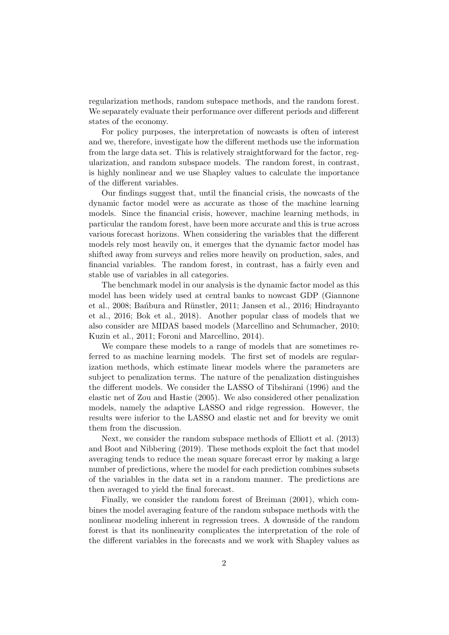regularization methods, random subspace methods, and the random forest. We separately evaluate their performance over different periods and different states of the economy.

For policy purposes, the interpretation of nowcasts is often of interest and we, therefore, investigate how the different methods use the information from the large data set. This is relatively straightforward for the factor, regularization, and random subspace models. The random forest, in contrast, is highly nonlinear and we use Shapley values to calculate the importance of the different variables.

Our findings suggest that, until the financial crisis, the nowcasts of the dynamic factor model were as accurate as those of the machine learning models. Since the financial crisis, however, machine learning methods, in particular the random forest, have been more accurate and this is true across various forecast horizons. When considering the variables that the different models rely most heavily on, it emerges that the dynamic factor model has shifted away from surveys and relies more heavily on production, sales, and financial variables. The random forest, in contrast, has a fairly even and stable use of variables in all categories.

The benchmark model in our analysis is the dynamic factor model as this model has been widely used at central banks to nowcast GDP (Giannone et al., 2008; Banbura and Rünstler, 2011; Jansen et al., 2016; Hindrayanto et al., 2016; Bok et al., 2018). Another popular class of models that we also consider are MIDAS based models (Marcellino and Schumacher, 2010; Kuzin et al., 2011; Foroni and Marcellino, 2014).

We compare these models to a range of models that are sometimes referred to as machine learning models. The first set of models are regularization methods, which estimate linear models where the parameters are subject to penalization terms. The nature of the penalization distinguishes the different models. We consider the LASSO of Tibshirani (1996) and the elastic net of Zou and Hastie (2005). We also considered other penalization models, namely the adaptive LASSO and ridge regression. However, the results were inferior to the LASSO and elastic net and for brevity we omit them from the discussion.

Next, we consider the random subspace methods of Elliott et al. (2013) and Boot and Nibbering (2019). These methods exploit the fact that model averaging tends to reduce the mean square forecast error by making a large number of predictions, where the model for each prediction combines subsets of the variables in the data set in a random manner. The predictions are then averaged to yield the final forecast.

Finally, we consider the random forest of Breiman (2001), which combines the model averaging feature of the random subspace methods with the nonlinear modeling inherent in regression trees. A downside of the random forest is that its nonlinearity complicates the interpretation of the role of the different variables in the forecasts and we work with Shapley values as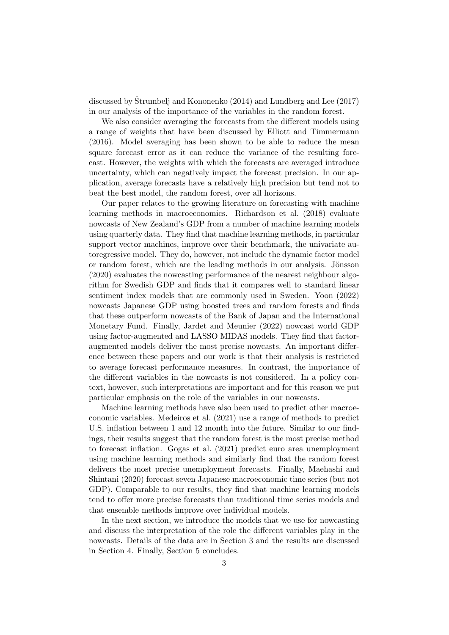discussed by Strumbelj and Kononenko  $(2014)$  and Lundberg and Lee  $(2017)$ in our analysis of the importance of the variables in the random forest.

We also consider averaging the forecasts from the different models using a range of weights that have been discussed by Elliott and Timmermann (2016). Model averaging has been shown to be able to reduce the mean square forecast error as it can reduce the variance of the resulting forecast. However, the weights with which the forecasts are averaged introduce uncertainty, which can negatively impact the forecast precision. In our application, average forecasts have a relatively high precision but tend not to beat the best model, the random forest, over all horizons.

Our paper relates to the growing literature on forecasting with machine learning methods in macroeconomics. Richardson et al. (2018) evaluate nowcasts of New Zealand's GDP from a number of machine learning models using quarterly data. They find that machine learning methods, in particular support vector machines, improve over their benchmark, the univariate autoregressive model. They do, however, not include the dynamic factor model or random forest, which are the leading methods in our analysis. Jönsson (2020) evaluates the nowcasting performance of the nearest neighbour algorithm for Swedish GDP and finds that it compares well to standard linear sentiment index models that are commonly used in Sweden. Yoon (2022) nowcasts Japanese GDP using boosted trees and random forests and finds that these outperform nowcasts of the Bank of Japan and the International Monetary Fund. Finally, Jardet and Meunier (2022) nowcast world GDP using factor-augmented and LASSO MIDAS models. They find that factoraugmented models deliver the most precise nowcasts. An important difference between these papers and our work is that their analysis is restricted to average forecast performance measures. In contrast, the importance of the different variables in the nowcasts is not considered. In a policy context, however, such interpretations are important and for this reason we put particular emphasis on the role of the variables in our nowcasts.

Machine learning methods have also been used to predict other macroeconomic variables. Medeiros et al. (2021) use a range of methods to predict U.S. inflation between 1 and 12 month into the future. Similar to our findings, their results suggest that the random forest is the most precise method to forecast inflation. Gogas et al. (2021) predict euro area unemployment using machine learning methods and similarly find that the random forest delivers the most precise unemployment forecasts. Finally, Maehashi and Shintani (2020) forecast seven Japanese macroeconomic time series (but not GDP). Comparable to our results, they find that machine learning models tend to offer more precise forecasts than traditional time series models and that ensemble methods improve over individual models.

In the next section, we introduce the models that we use for nowcasting and discuss the interpretation of the role the different variables play in the nowcasts. Details of the data are in Section 3 and the results are discussed in Section 4. Finally, Section 5 concludes.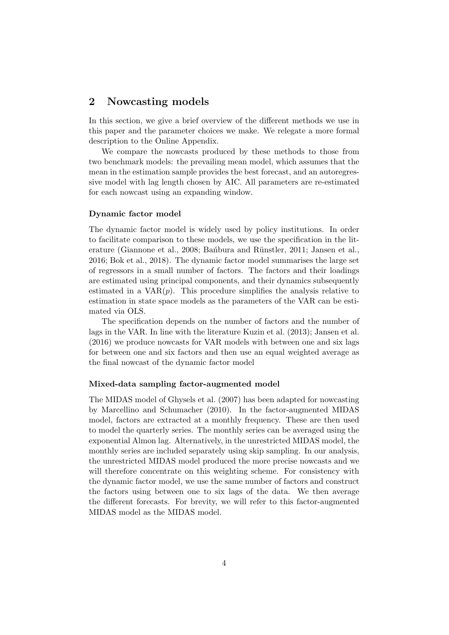# 2 Nowcasting models

In this section, we give a brief overview of the different methods we use in this paper and the parameter choices we make. We relegate a more formal description to the Online Appendix.

We compare the nowcasts produced by these methods to those from two benchmark models: the prevailing mean model, which assumes that the mean in the estimation sample provides the best forecast, and an autoregressive model with lag length chosen by AIC. All parameters are re-estimated for each nowcast using an expanding window.

# Dynamic factor model

The dynamic factor model is widely used by policy institutions. In order to facilitate comparison to these models, we use the specification in the literature (Giannone et al., 2008; Bansbura and Rünstler, 2011; Jansen et al., 2016; Bok et al., 2018). The dynamic factor model summarises the large set of regressors in a small number of factors. The factors and their loadings are estimated using principal components, and their dynamics subsequently estimated in a  $VAR(p)$ . This procedure simplifies the analysis relative to estimation in state space models as the parameters of the VAR can be estimated via OLS.

The specification depends on the number of factors and the number of lags in the VAR. In line with the literature Kuzin et al. (2013); Jansen et al. (2016) we produce nowcasts for VAR models with between one and six lags for between one and six factors and then use an equal weighted average as the final nowcast of the dynamic factor model

#### Mixed-data sampling factor-augmented model

The MIDAS model of Ghysels et al. (2007) has been adapted for nowcasting by Marcellino and Schumacher (2010). In the factor-augmented MIDAS model, factors are extracted at a monthly frequency. These are then used to model the quarterly series. The monthly series can be averaged using the exponential Almon lag. Alternatively, in the unrestricted MIDAS model, the monthly series are included separately using skip sampling. In our analysis, the unrestricted MIDAS model produced the more precise nowcasts and we will therefore concentrate on this weighting scheme. For consistency with the dynamic factor model, we use the same number of factors and construct the factors using between one to six lags of the data. We then average the different forecasts. For brevity, we will refer to this factor-augmented MIDAS model as the MIDAS model.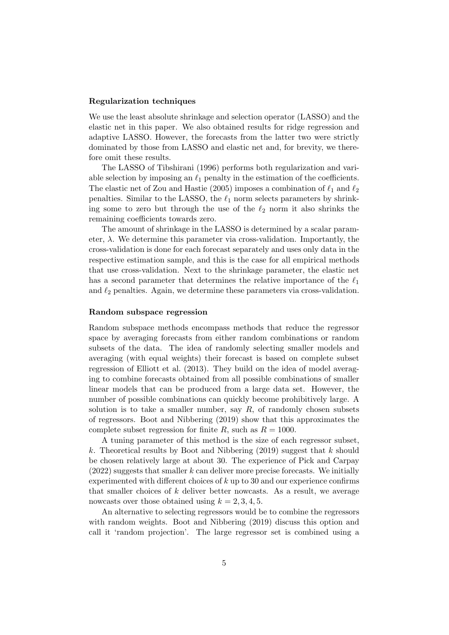#### Regularization techniques

We use the least absolute shrinkage and selection operator (LASSO) and the elastic net in this paper. We also obtained results for ridge regression and adaptive LASSO. However, the forecasts from the latter two were strictly dominated by those from LASSO and elastic net and, for brevity, we therefore omit these results.

The LASSO of Tibshirani (1996) performs both regularization and variable selection by imposing an  $\ell_1$  penalty in the estimation of the coefficients. The elastic net of Zou and Hastie (2005) imposes a combination of  $\ell_1$  and  $\ell_2$ penalties. Similar to the LASSO, the  $\ell_1$  norm selects parameters by shrinking some to zero but through the use of the  $\ell_2$  norm it also shrinks the remaining coefficients towards zero.

The amount of shrinkage in the LASSO is determined by a scalar parameter,  $\lambda$ . We determine this parameter via cross-validation. Importantly, the cross-validation is done for each forecast separately and uses only data in the respective estimation sample, and this is the case for all empirical methods that use cross-validation. Next to the shrinkage parameter, the elastic net has a second parameter that determines the relative importance of the  $\ell_1$ and  $\ell_2$  penalties. Again, we determine these parameters via cross-validation.

#### Random subspace regression

Random subspace methods encompass methods that reduce the regressor space by averaging forecasts from either random combinations or random subsets of the data. The idea of randomly selecting smaller models and averaging (with equal weights) their forecast is based on complete subset regression of Elliott et al. (2013). They build on the idea of model averaging to combine forecasts obtained from all possible combinations of smaller linear models that can be produced from a large data set. However, the number of possible combinations can quickly become prohibitively large. A solution is to take a smaller number, say  $R$ , of randomly chosen subsets of regressors. Boot and Nibbering (2019) show that this approximates the complete subset regression for finite R, such as  $R = 1000$ .

A tuning parameter of this method is the size of each regressor subset, k. Theoretical results by Boot and Nibbering (2019) suggest that k should be chosen relatively large at about 30. The experience of Pick and Carpay  $(2022)$  suggests that smaller k can deliver more precise forecasts. We initially experimented with different choices of  $k$  up to 30 and our experience confirms that smaller choices of  $k$  deliver better nowcasts. As a result, we average nowcasts over those obtained using  $k = 2, 3, 4, 5$ .

An alternative to selecting regressors would be to combine the regressors with random weights. Boot and Nibbering (2019) discuss this option and call it 'random projection'. The large regressor set is combined using a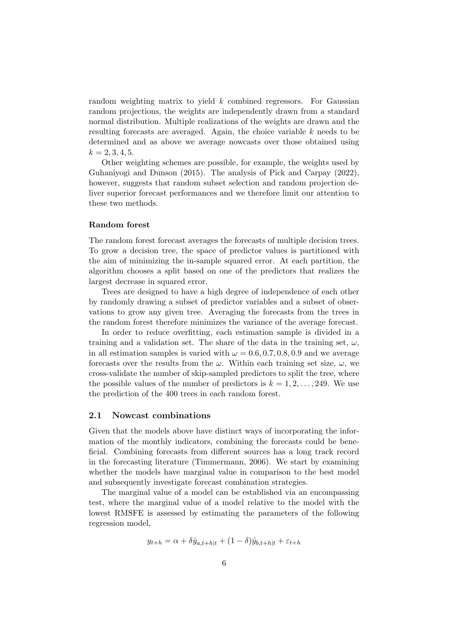random weighting matrix to yield k combined regressors. For Gaussian random projections, the weights are independently drawn from a standard normal distribution. Multiple realizations of the weights are drawn and the resulting forecasts are averaged. Again, the choice variable k needs to be determined and as above we average nowcasts over those obtained using  $k = 2, 3, 4, 5.$ 

Other weighting schemes are possible, for example, the weights used by Guhaniyogi and Dunson (2015). The analysis of Pick and Carpay (2022), however, suggests that random subset selection and random projection deliver superior forecast performances and we therefore limit our attention to these two methods.

#### Random forest

The random forest forecast averages the forecasts of multiple decision trees. To grow a decision tree, the space of predictor values is partitioned with the aim of minimizing the in-sample squared error. At each partition, the algorithm chooses a split based on one of the predictors that realizes the largest decrease in squared error.

Trees are designed to have a high degree of independence of each other by randomly drawing a subset of predictor variables and a subset of observations to grow any given tree. Averaging the forecasts from the trees in the random forest therefore minimizes the variance of the average forecast.

In order to reduce overfitting, each estimation sample is divided in a training and a validation set. The share of the data in the training set,  $\omega$ , in all estimation samples is varied with  $\omega = 0.6, 0.7, 0.8, 0.9$  and we average forecasts over the results from the  $\omega$ . Within each training set size,  $\omega$ , we cross-validate the number of skip-sampled predictors to split the tree, where the possible values of the number of predictors is  $k = 1, 2, \ldots, 249$ . We use the prediction of the 400 trees in each random forest.

#### 2.1 Nowcast combinations

Given that the models above have distinct ways of incorporating the information of the monthly indicators, combining the forecasts could be beneficial. Combining forecasts from different sources has a long track record in the forecasting literature (Timmermann, 2006). We start by examining whether the models have marginal value in comparison to the best model and subsequently investigate forecast combination strategies.

The marginal value of a model can be established via an encompassing test, where the marginal value of a model relative to the model with the lowest RMSFE is assessed by estimating the parameters of the following regression model,

$$
y_{t+h} = \alpha + \delta \hat{y}_{a,t+h|t} + (1 - \delta) \hat{y}_{b,t+h|t} + \varepsilon_{t+h}
$$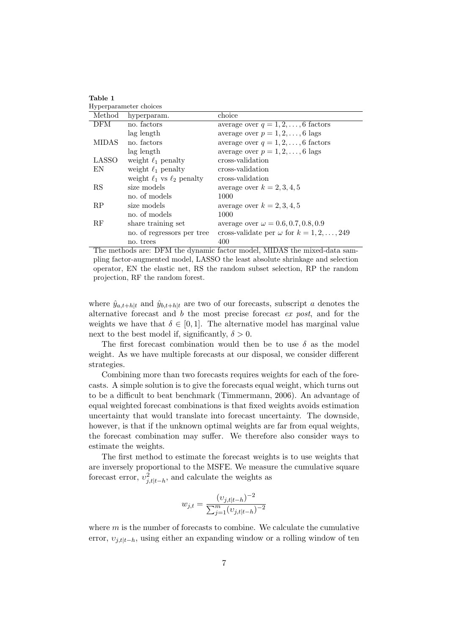|              | Hyperparameter choices              |                                                   |
|--------------|-------------------------------------|---------------------------------------------------|
| Method       | hyperparam.                         | choice                                            |
| <b>DFM</b>   | no. factors                         | average over $q = 1, 2, \ldots, 6$ factors        |
|              | lag length                          | average over $p = 1, 2, \ldots, 6$ lags           |
| <b>MIDAS</b> | no. factors                         | average over $q = 1, 2, \ldots, 6$ factors        |
|              | lag length                          | average over $p = 1, 2, \ldots, 6$ lags           |
| LASSO        | weight $\ell_1$ penalty             | cross-validation                                  |
| EN           | weight $\ell_1$ penalty             | cross-validation                                  |
|              | weight $\ell_1$ vs $\ell_2$ penalty | cross-validation                                  |
| RS           | size models                         | average over $k = 2, 3, 4, 5$                     |
|              | no. of models                       | 1000                                              |
| RP           | size models                         | average over $k = 2, 3, 4, 5$                     |
|              | no. of models                       | 1000                                              |
| RF           | share training set                  | average over $\omega = 0.6, 0.7, 0.8, 0.9$        |
|              | no. of regressors per tree          | cross-validate per $\omega$ for $k = 1, 2, , 249$ |
|              | no. trees                           | 400                                               |

Table 1

The methods are: DFM the dynamic factor model, MIDAS the mixed-data sampling factor-augmented model, LASSO the least absolute shrinkage and selection operator, EN the elastic net, RS the random subset selection, RP the random projection, RF the random forest.

where  $\hat{y}_{a,t+h|t}$  and  $\hat{y}_{b,t+h|t}$  are two of our forecasts, subscript a denotes the alternative forecast and b the most precise forecast ex post, and for the weights we have that  $\delta \in [0, 1]$ . The alternative model has marginal value next to the best model if, significantly,  $\delta > 0$ .

The first forecast combination would then be to use  $\delta$  as the model weight. As we have multiple forecasts at our disposal, we consider different strategies.

Combining more than two forecasts requires weights for each of the forecasts. A simple solution is to give the forecasts equal weight, which turns out to be a difficult to beat benchmark (Timmermann, 2006). An advantage of equal weighted forecast combinations is that fixed weights avoids estimation uncertainty that would translate into forecast uncertainty. The downside, however, is that if the unknown optimal weights are far from equal weights, the forecast combination may suffer. We therefore also consider ways to estimate the weights.

The first method to estimate the forecast weights is to use weights that are inversely proportional to the MSFE. We measure the cumulative square forecast error,  $v_{j,t|t-h}^2$ , and calculate the weights as

$$
w_{j,t} = \frac{(v_{j,t|t-h})^{-2}}{\sum_{j=1}^{m} (v_{j,t|t-h})^{-2}}
$$

where  $m$  is the number of forecasts to combine. We calculate the cumulative error,  $v_{j,t|t-h}$ , using either an expanding window or a rolling window of ten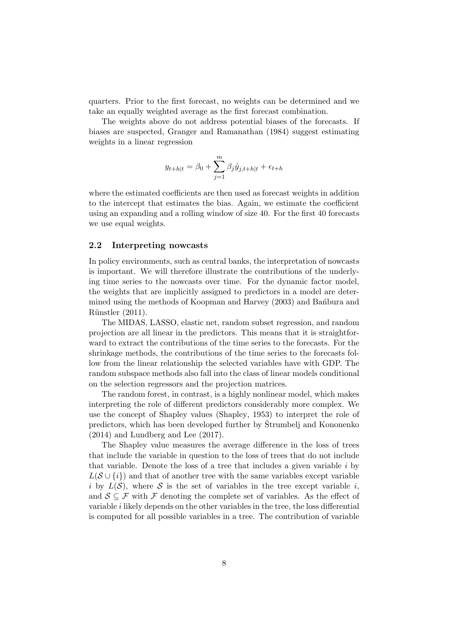quarters. Prior to the first forecast, no weights can be determined and we take an equally weighted average as the first forecast combination.

The weights above do not address potential biases of the forecasts. If biases are suspected, Granger and Ramanathan (1984) suggest estimating weights in a linear regression

$$
y_{t+h|t} = \beta_0 + \sum_{j=1}^{m} \beta_j \hat{y}_{j,t+h|t} + \epsilon_{t+h}
$$

where the estimated coefficients are then used as forecast weights in addition to the intercept that estimates the bias. Again, we estimate the coefficient using an expanding and a rolling window of size 40. For the first 40 forecasts we use equal weights.

### 2.2 Interpreting nowcasts

In policy environments, such as central banks, the interpretation of nowcasts is important. We will therefore illustrate the contributions of the underlying time series to the nowcasts over time. For the dynamic factor model, the weights that are implicitly assigned to predictors in a model are determined using the methods of Koopman and Harvey (2003) and Bansbura and Rünstler (2011).

The MIDAS, LASSO, elastic net, random subset regression, and random projection are all linear in the predictors. This means that it is straightforward to extract the contributions of the time series to the forecasts. For the shrinkage methods, the contributions of the time series to the forecasts follow from the linear relationship the selected variables have with GDP. The random subspace methods also fall into the class of linear models conditional on the selection regressors and the projection matrices.

The random forest, in contrast, is a highly nonlinear model, which makes interpreting the role of different predictors considerably more complex. We use the concept of Shapley values (Shapley, 1953) to interpret the role of predictors, which has been developed further by Strumbelj and Kononenko (2014) and Lundberg and Lee (2017).

The Shapley value measures the average difference in the loss of trees that include the variable in question to the loss of trees that do not include that variable. Denote the loss of a tree that includes a given variable  $i$  by  $L(S \cup \{i\})$  and that of another tree with the same variables except variable i by  $L(S)$ , where S is the set of variables in the tree except variable i, and  $S \subseteq \mathcal{F}$  with  $\mathcal{F}$  denoting the complete set of variables. As the effect of variable  $i$  likely depends on the other variables in the tree, the loss differential is computed for all possible variables in a tree. The contribution of variable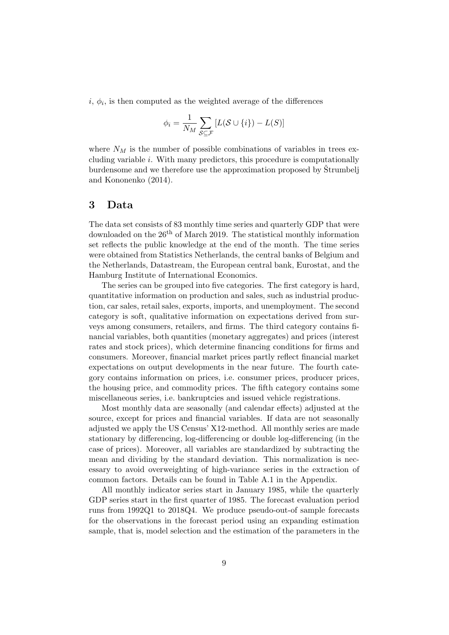$i, \phi_i$ , is then computed as the weighted average of the differences

$$
\phi_i = \frac{1}{N_M} \sum_{\mathcal{S} \subseteq \mathcal{F}} [L(\mathcal{S} \cup \{i\}) - L(\mathcal{S})]
$$

where  $N_M$  is the number of possible combinations of variables in trees excluding variable i. With many predictors, this procedure is computationally burdensome and we therefore use the approximation proposed by Strumbell and Kononenko (2014).

# 3 Data

The data set consists of 83 monthly time series and quarterly GDP that were downloaded on the 26<sup>th</sup> of March 2019. The statistical monthly information set reflects the public knowledge at the end of the month. The time series were obtained from Statistics Netherlands, the central banks of Belgium and the Netherlands, Datastream, the European central bank, Eurostat, and the Hamburg Institute of International Economics.

The series can be grouped into five categories. The first category is hard, quantitative information on production and sales, such as industrial production, car sales, retail sales, exports, imports, and unemployment. The second category is soft, qualitative information on expectations derived from surveys among consumers, retailers, and firms. The third category contains financial variables, both quantities (monetary aggregates) and prices (interest rates and stock prices), which determine financing conditions for firms and consumers. Moreover, financial market prices partly reflect financial market expectations on output developments in the near future. The fourth category contains information on prices, i.e. consumer prices, producer prices, the housing price, and commodity prices. The fifth category contains some miscellaneous series, i.e. bankruptcies and issued vehicle registrations.

Most monthly data are seasonally (and calendar effects) adjusted at the source, except for prices and financial variables. If data are not seasonally adjusted we apply the US Census' X12-method. All monthly series are made stationary by differencing, log-differencing or double log-differencing (in the case of prices). Moreover, all variables are standardized by subtracting the mean and dividing by the standard deviation. This normalization is necessary to avoid overweighting of high-variance series in the extraction of common factors. Details can be found in Table A.1 in the Appendix.

All monthly indicator series start in January 1985, while the quarterly GDP series start in the first quarter of 1985. The forecast evaluation period runs from 1992Q1 to 2018Q4. We produce pseudo-out-of sample forecasts for the observations in the forecast period using an expanding estimation sample, that is, model selection and the estimation of the parameters in the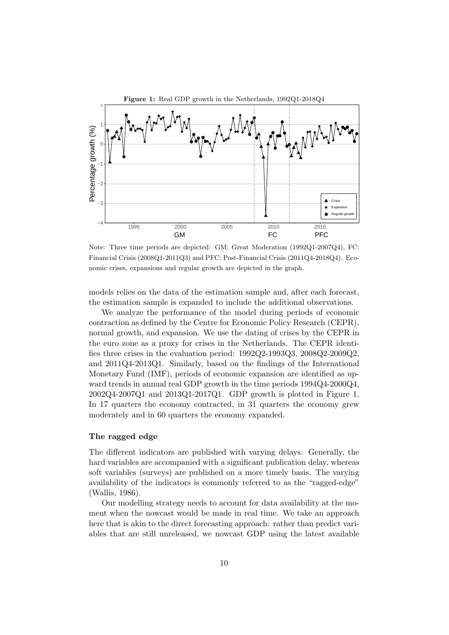

Note: Three time periods are depicted: GM: Great Moderation (1992Q1-2007Q4), FC: Financial Crisis (2008Q1-2011Q3) and PFC: Post-Financial Crisis (2011Q4-2018Q4). Economic crises, expansions and regular growth are depicted in the graph.

models relies on the data of the estimation sample and, after each forecast, the estimation sample is expanded to include the additional observations.

We analyze the performance of the model during periods of economic contraction as defined by the Centre for Economic Policy Research (CEPR), normal growth, and expansion. We use the dating of crises by the CEPR in the euro zone as a proxy for crises in the Netherlands. The CEPR identifies three crises in the evaluation period: 1992Q2-1993Q3, 2008Q2-2009Q2, and 2011Q4-2013Q1. Similarly, based on the findings of the International Monetary Fund (IMF), periods of economic expansion are identified as upward trends in annual real GDP growth in the time periods 1994Q4-2000Q4, 2002Q4-2007Q1 and 2013Q1-2017Q1. GDP growth is plotted in Figure 1. In 17 quarters the economy contracted, in 31 quarters the economy grew moderately and in 60 quarters the economy expanded.

## The ragged edge

The different indicators are published with varying delays. Generally, the hard variables are accompanied with a significant publication delay, whereas soft variables (surveys) are published on a more timely basis. The varying availability of the indicators is commonly referred to as the "ragged-edge" (Wallis, 1986).

Our modelling strategy needs to account for data availability at the moment when the nowcast would be made in real time. We take an approach here that is akin to the direct forecasting approach: rather than predict variables that are still unreleased, we nowcast GDP using the latest available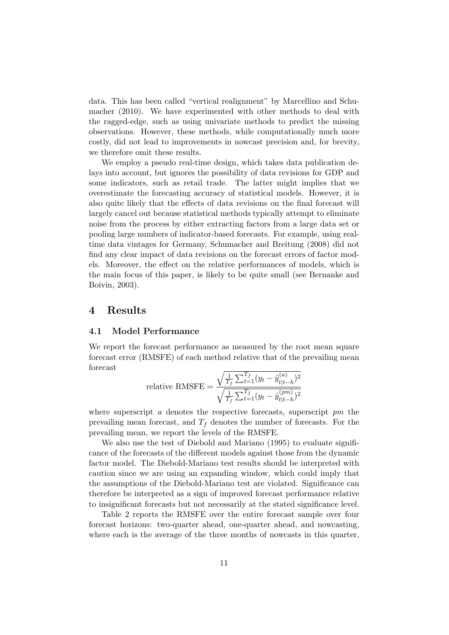data. This has been called "vertical realignment" by Marcellino and Schumacher (2010). We have experimented with other methods to deal with the ragged-edge, such as using univariate methods to predict the missing observations. However, these methods, while computationally much more costly, did not lead to improvements in nowcast precision and, for brevity, we therefore omit these results.

We employ a pseudo real-time design, which takes data publication delays into account, but ignores the possibility of data revisions for GDP and some indicators, such as retail trade. The latter might implies that we overestimate the forecasting accuracy of statistical models. However, it is also quite likely that the effects of data revisions on the final forecast will largely cancel out because statistical methods typically attempt to eliminate noise from the process by either extracting factors from a large data set or pooling large numbers of indicator-based forecasts. For example, using realtime data vintages for Germany, Schumacher and Breitung (2008) did not find any clear impact of data revisions on the forecast errors of factor models. Moreover, the effect on the relative performances of models, which is the main focus of this paper, is likely to be quite small (see Bernanke and Boivin, 2003).

# 4 Results

## 4.1 Model Performance

We report the forecast performance as measured by the root mean square forecast error (RMSFE) of each method relative that of the prevailing mean forecast

relative RMSFE = 
$$
\frac{\sqrt{\frac{1}{T_f} \sum_{t=1}^{T_f} (y_t - \hat{y}_{t|t-h}^{(a)})^2}}{\sqrt{\frac{1}{T_f} \sum_{t=1}^{T_f} (y_t - \hat{y}_{t|t-h}^{(pm)})^2}}
$$

where superscript a denotes the respective forecasts, superscript  $pm$  the prevailing mean forecast, and  $T_f$  denotes the number of forecasts. For the prevailing mean, we report the levels of the RMSFE.

We also use the test of Diebold and Mariano (1995) to evaluate significance of the forecasts of the different models against those from the dynamic factor model. The Diebold-Mariano test results should be interpreted with caution since we are using an expanding window, which could imply that the assumptions of the Diebold-Mariano test are violated. Significance can therefore be interpreted as a sign of improved forecast performance relative to insignificant forecasts but not necessarily at the stated significance level.

Table 2 reports the RMSFE over the entire forecast sample over four forecast horizons: two-quarter ahead, one-quarter ahead, and nowcasting, where each is the average of the three months of nowcasts in this quarter,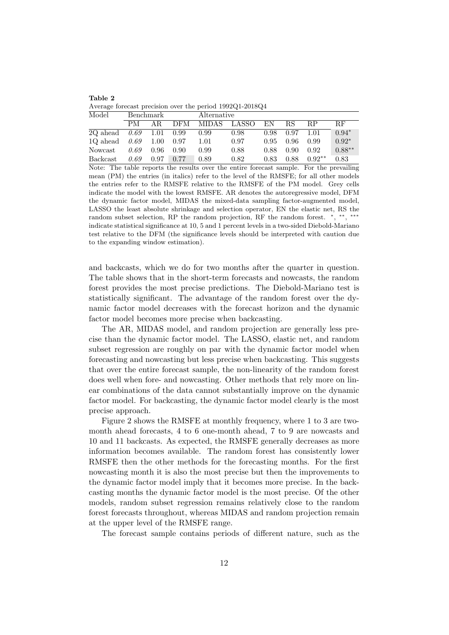| Table 2                                                  |  |  |  |
|----------------------------------------------------------|--|--|--|
| Average forecast precision over the period 1992Q1-2018Q4 |  |  |  |

| Model           |      | Benchmark |            |         | Alternative |      |                |           |           |  |
|-----------------|------|-----------|------------|---------|-------------|------|----------------|-----------|-----------|--|
|                 | PМ   | AR.       | <b>DFM</b> | MIDAS - | LASSO       | ΕN   | ВS             | <b>RP</b> | <b>RF</b> |  |
| 2Q ahead        | 0.69 | 1.01      | 0.99       | 0.99    | 0.98        | 0.98 | 0.97           | 1 01      | $0.94*$   |  |
| 1Q ahead        | 0.69 | 1.00      | 0.97       | 1.01    | 0.97        | 0.95 | 0.96           | 0.99      | $0.92*$   |  |
| Nowcast         | 0.69 | 0.96      | 0.90       | 0.99    | 0.88        | 0.88 | $0.90^{\circ}$ | 0.92      | $0.88**$  |  |
| <b>Backcast</b> | 0.69 | 0.97      | 0.77       | 0.89    | 0.82        | 0.83 | 0.88           | $0.92**$  | 0.83      |  |

Note: The table reports the results over the entire forecast sample. For the prevailing mean (PM) the entries (in italics) refer to the level of the RMSFE; for all other models the entries refer to the RMSFE relative to the RMSFE of the PM model. Grey cells indicate the model with the lowest RMSFE. AR denotes the autoregressive model, DFM the dynamic factor model, MIDAS the mixed-data sampling factor-augmented model, LASSO the least absolute shrinkage and selection operator, EN the elastic net, RS the random subset selection, RP the random projection, RF the random forest. \*, \*\* , ∗∗∗ indicate statistical significance at 10, 5 and 1 percent levels in a two-sided Diebold-Mariano test relative to the DFM (the significance levels should be interpreted with caution due to the expanding window estimation).

and backcasts, which we do for two months after the quarter in question. The table shows that in the short-term forecasts and nowcasts, the random forest provides the most precise predictions. The Diebold-Mariano test is statistically significant. The advantage of the random forest over the dynamic factor model decreases with the forecast horizon and the dynamic factor model becomes more precise when backcasting.

The AR, MIDAS model, and random projection are generally less precise than the dynamic factor model. The LASSO, elastic net, and random subset regression are roughly on par with the dynamic factor model when forecasting and nowcasting but less precise when backcasting. This suggests that over the entire forecast sample, the non-linearity of the random forest does well when fore- and nowcasting. Other methods that rely more on linear combinations of the data cannot substantially improve on the dynamic factor model. For backcasting, the dynamic factor model clearly is the most precise approach.

Figure 2 shows the RMSFE at monthly frequency, where 1 to 3 are twomonth ahead forecasts, 4 to 6 one-month ahead, 7 to 9 are nowcasts and 10 and 11 backcasts. As expected, the RMSFE generally decreases as more information becomes available. The random forest has consistently lower RMSFE then the other methods for the forecasting months. For the first nowcasting month it is also the most precise but then the improvements to the dynamic factor model imply that it becomes more precise. In the backcasting months the dynamic factor model is the most precise. Of the other models, random subset regression remains relatively close to the random forest forecasts throughout, whereas MIDAS and random projection remain at the upper level of the RMSFE range.

The forecast sample contains periods of different nature, such as the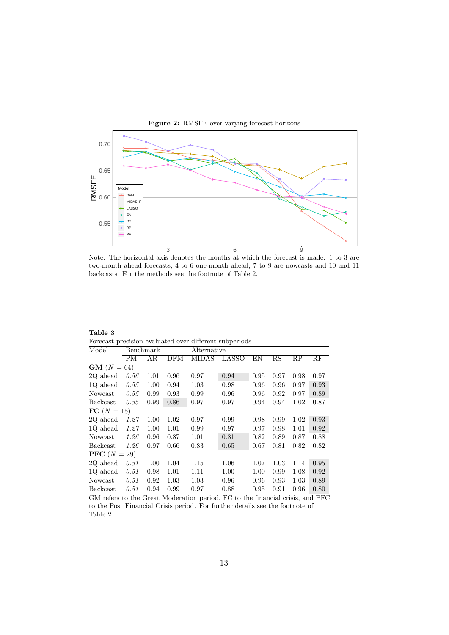

Note: The horizontal axis denotes the months at which the forecast is made. 1 to 3 are two-month ahead forecasts, 4 to 6 one-month ahead, 7 to 9 are nowcasts and 10 and 11 backcasts. For the methods see the footnote of Table 2.

| Table 3 |  |  |                                                        |
|---------|--|--|--------------------------------------------------------|
|         |  |  | Forecast precision evaluated over different subperiods |

| Model                 |      | Benchmark |      | Alternative  |              |      |             |      |      |
|-----------------------|------|-----------|------|--------------|--------------|------|-------------|------|------|
|                       | PМ   | AR.       | DFM  | <b>MIDAS</b> | <b>LASSO</b> | ΕN   | $_{\rm RS}$ | RP   | RF   |
| $GM(N = 64)$          |      |           |      |              |              |      |             |      |      |
| 2Q ahead              | 0.56 | 1.01      | 0.96 | 0.97         | 0.94         | 0.95 | 0.97        | 0.98 | 0.97 |
| 1Q ahead              | 0.55 | 1.00      | 0.94 | 1.03         | 0.98         | 0.96 | 0.96        | 0.97 | 0.93 |
| Nowcast               | 0.55 | 0.99      | 0.93 | 0.99         | 0.96         | 0.96 | 0.92        | 0.97 | 0.89 |
| Backcast              | 0.55 | 0.99      | 0.86 | 0.97         | 0.97         | 0.94 | 0.94        | 1.02 | 0.87 |
| $FC(N = 15)$          |      |           |      |              |              |      |             |      |      |
| 2Q ahead              | 1.27 | 1.00      | 1.02 | 0.97         | 0.99         | 0.98 | 0.99        | 1.02 | 0.93 |
| 1Q ahead              | 1.27 | 1.00      | 1.01 | 0.99         | 0.97         | 0.97 | 0.98        | 1.01 | 0.92 |
| Nowcast               | 1.26 | 0.96      | 0.87 | 1.01         | 0.81         | 0.82 | 0.89        | 0.87 | 0.88 |
| Backcast              | 1.26 | 0.97      | 0.66 | 0.83         | 0.65         | 0.67 | 0.81        | 0.82 | 0.82 |
| <b>PFC</b> $(N = 29)$ |      |           |      |              |              |      |             |      |      |
| 2Q ahead              | 0.51 | 1.00      | 1.04 | 1.15         | 1.06         | 1.07 | 1.03        | 1.14 | 0.95 |
| 1Q ahead              | 0.51 | 0.98      | 1.01 | 1.11         | 1.00         | 1.00 | 0.99        | 1.08 | 0.92 |
| Nowcast               | 0.51 | 0.92      | 1.03 | 1.03         | 0.96         | 0.96 | 0.93        | 1.03 | 0.89 |
| <b>Backcast</b>       | 0.51 | 0.94      | 0.99 | 0.97         | 0.88         | 0.95 | 0.91        | 0.96 | 0.80 |

GM refers to the Great Moderation period, FC to the financial crisis, and PFC to the Post Financial Crisis period. For further details see the footnote of Table 2.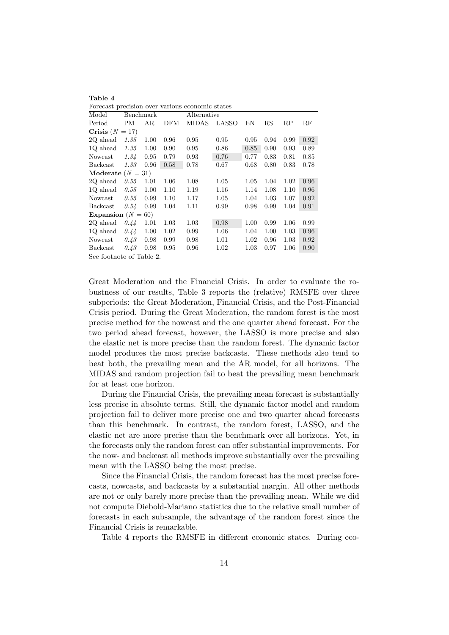| Forecast precision over various economic states |      |           |      |              |       |          |      |      |      |
|-------------------------------------------------|------|-----------|------|--------------|-------|----------|------|------|------|
| Model                                           |      | Benchmark |      | Alternative  |       |          |      |      |      |
| Period                                          | PМ   | ΑR        | DFM  | <b>MIDAS</b> | LASSO | ΕN       | RS   | RP   | RF   |
| Crisis $(N = 17)$                               |      |           |      |              |       |          |      |      |      |
| 2Q ahead                                        | 1.35 | 1.00      | 0.96 | 0.95         | 0.95  | 0.95     | 0.94 | 0.99 | 0.92 |
| 1Q ahead                                        | 1.35 | 1.00      | 0.90 | 0.95         | 0.86  | 0.85     | 0.90 | 0.93 | 0.89 |
| Nowcast                                         | 1.34 | 0.95      | 0.79 | 0.93         | 0.76  | 0.77     | 0.83 | 0.81 | 0.85 |
| Backcast                                        | 1.33 | 0.96      | 0.58 | 0.78         | 0.67  | 0.68     | 0.80 | 0.83 | 0.78 |
| Moderate $(N = 31)$                             |      |           |      |              |       |          |      |      |      |
| 2Q ahead                                        | 0.55 | 1.01      | 1.06 | 1.08         | 1.05  | 1.05     | 1.04 | 1.02 | 0.96 |
| 1Q ahead                                        | 0.55 | 1.00      | 1.10 | 1.19         | 1.16  | 1.14     | 1.08 | 1.10 | 0.96 |
| Nowcast                                         | 0.55 | 0.99      | 1.10 | 1.17         | 1.05  | 1.04     | 1.03 | 1.07 | 0.92 |
| <b>Backcast</b>                                 | 0.54 | 0.99      | 1.04 | 1.11         | 0.99  | 0.98     | 0.99 | 1.04 | 0.91 |
| Expansion $(N =$                                |      | 60)       |      |              |       |          |      |      |      |
| 2Q ahead                                        | 0.44 | 1.01      | 1.03 | 1.03         | 0.98  | 1.00     | 0.99 | 1.06 | 0.99 |
| 1Q ahead                                        | 0.44 | 1.00      | 1.02 | 0.99         | 1.06  | 1.04     | 1.00 | 1.03 | 0.96 |
| Nowcast                                         | 0.43 | 0.98      | 0.99 | 0.98         | 1.01  | 1.02     | 0.96 | 1.03 | 0.92 |
| <b>Backcast</b>                                 | 0.43 | 0.98      | 0.95 | 0.96         | 1.02  | $1.03\,$ | 0.97 | 1.06 | 0.90 |
| acı romana                                      |      |           |      |              |       |          |      |      |      |

See footnote of Table 2.

Table 4

Great Moderation and the Financial Crisis. In order to evaluate the robustness of our results, Table 3 reports the (relative) RMSFE over three subperiods: the Great Moderation, Financial Crisis, and the Post-Financial Crisis period. During the Great Moderation, the random forest is the most precise method for the nowcast and the one quarter ahead forecast. For the two period ahead forecast, however, the LASSO is more precise and also the elastic net is more precise than the random forest. The dynamic factor model produces the most precise backcasts. These methods also tend to beat both, the prevailing mean and the AR model, for all horizons. The MIDAS and random projection fail to beat the prevailing mean benchmark for at least one horizon.

During the Financial Crisis, the prevailing mean forecast is substantially less precise in absolute terms. Still, the dynamic factor model and random projection fail to deliver more precise one and two quarter ahead forecasts than this benchmark. In contrast, the random forest, LASSO, and the elastic net are more precise than the benchmark over all horizons. Yet, in the forecasts only the random forest can offer substantial improvements. For the now- and backcast all methods improve substantially over the prevailing mean with the LASSO being the most precise.

Since the Financial Crisis, the random forecast has the most precise forecasts, nowcasts, and backcasts by a substantial margin. All other methods are not or only barely more precise than the prevailing mean. While we did not compute Diebold-Mariano statistics due to the relative small number of forecasts in each subsample, the advantage of the random forest since the Financial Crisis is remarkable.

Table 4 reports the RMSFE in different economic states. During eco-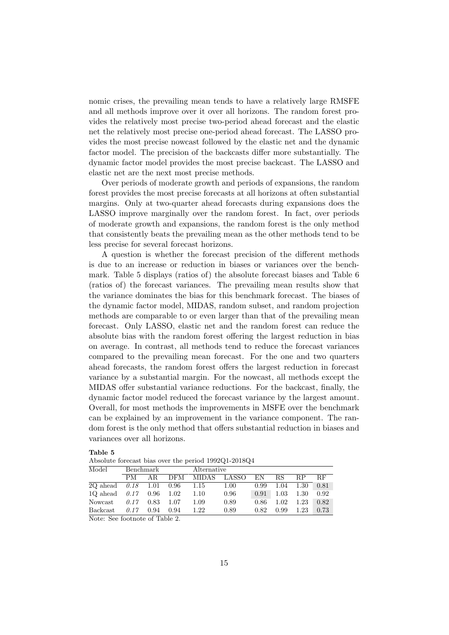nomic crises, the prevailing mean tends to have a relatively large RMSFE and all methods improve over it over all horizons. The random forest provides the relatively most precise two-period ahead forecast and the elastic net the relatively most precise one-period ahead forecast. The LASSO provides the most precise nowcast followed by the elastic net and the dynamic factor model. The precision of the backcasts differ more substantially. The dynamic factor model provides the most precise backcast. The LASSO and elastic net are the next most precise methods.

Over periods of moderate growth and periods of expansions, the random forest provides the most precise forecasts at all horizons at often substantial margins. Only at two-quarter ahead forecasts during expansions does the LASSO improve marginally over the random forest. In fact, over periods of moderate growth and expansions, the random forest is the only method that consistently beats the prevailing mean as the other methods tend to be less precise for several forecast horizons.

A question is whether the forecast precision of the different methods is due to an increase or reduction in biases or variances over the benchmark. Table 5 displays (ratios of) the absolute forecast biases and Table 6 (ratios of) the forecast variances. The prevailing mean results show that the variance dominates the bias for this benchmark forecast. The biases of the dynamic factor model, MIDAS, random subset, and random projection methods are comparable to or even larger than that of the prevailing mean forecast. Only LASSO, elastic net and the random forest can reduce the absolute bias with the random forest offering the largest reduction in bias on average. In contrast, all methods tend to reduce the forecast variances compared to the prevailing mean forecast. For the one and two quarters ahead forecasts, the random forest offers the largest reduction in forecast variance by a substantial margin. For the nowcast, all methods except the MIDAS offer substantial variance reductions. For the backcast, finally, the dynamic factor model reduced the forecast variance by the largest amount. Overall, for most methods the improvements in MSFE over the benchmark can be explained by an improvement in the variance component. The random forest is the only method that offers substantial reduction in biases and variances over all horizons.

| Troporate reference often over the period room $\alpha$ respectively. |           |      |      |                    |             |      |      |           |      |  |
|-----------------------------------------------------------------------|-----------|------|------|--------------------|-------------|------|------|-----------|------|--|
| Model                                                                 | Benchmark |      |      |                    | Alternative |      |      |           |      |  |
|                                                                       | РM        |      |      | AR DFM MIDAS LASSO |             | EN   | RS.  | <b>RP</b> | RЕ   |  |
| $2Q \text{ ahead}$ $0.18$ $1.01$ $0.96$ $1.15$                        |           |      |      |                    | 1.00        | 0.99 | 1.04 | 1.30      | 0.81 |  |
| 1Q ahead $0.17$ 0.96 1.02                                             |           |      |      | 1.10               | 0.96        | 0.91 | 1.03 | $1.30\,$  | 0.92 |  |
| Nowcast $0.17$                                                        |           | 0.83 | 1.07 | 1.09               | 0.89        | 0.86 | 1.02 | 1.23      | 0.82 |  |
| Backcast $0.17$                                                       |           | 0.94 | 0.94 | 1.22               | 0.89        | 0.82 | 0.99 | $1.23\,$  | 0.73 |  |

| н<br>۰.<br>۰.<br>×<br>× |  |
|-------------------------|--|
|-------------------------|--|

Absolute forecast bias over the period  $100201-201804$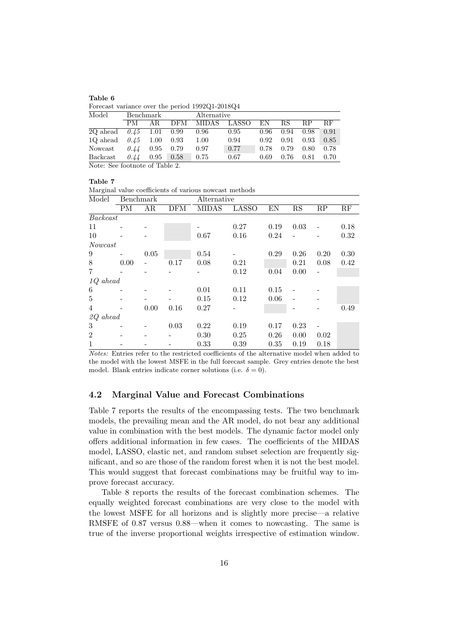| Table 6 |  |                                                 |
|---------|--|-------------------------------------------------|
|         |  | Forecast variance over the period 1992Q1-2018Q4 |

| Model    |                                | Benchmark |            |              | Alternative |      |      |           |           |  |  |
|----------|--------------------------------|-----------|------------|--------------|-------------|------|------|-----------|-----------|--|--|
|          | PМ                             | AR.       | <b>DFM</b> | <b>MIDAS</b> | LASSO       | ΕN   | RS   | <b>RP</b> | <b>RF</b> |  |  |
| 2Q ahead | 0.45                           | 1.01      | 0.99       | 0.96         | 0.95        | 0.96 | 0.94 | 0.98      | 0.91      |  |  |
| 10 ahead | 0.45                           | 1.00      | 0.93       | 1.00         | 0.94        | 0.92 | 0.91 | 0.93      | 0.85      |  |  |
| Nowcast  | 0.44                           | 0.95      | 0.79       | 0.97         | 0.77        | 0.78 | 0.79 | 0.80      | 0.78      |  |  |
| Backcast | 0.44                           | 0.95      | 0.58       | 0.75         | 0.67        | 0.69 | 0.76 | 0.81      | 0.70      |  |  |
|          | Note: See footnote of Table 2. |           |            |              |             |      |      |           |           |  |  |

Table 7

Marginal value coefficients of various nowcast methods

| Model              | Benchmark |      |            | Alternative  |              |      |                        |                 |                 |
|--------------------|-----------|------|------------|--------------|--------------|------|------------------------|-----------------|-----------------|
|                    | PM        | AR   | <b>DFM</b> | <b>MIDAS</b> | <b>LASSO</b> | EN   | $\overline{\text{RS}}$ | $\overline{RP}$ | $\overline{RF}$ |
| Backcast           |           |      |            |              |              |      |                        |                 |                 |
| 11                 |           |      |            |              | 0.27         | 0.19 | 0.03                   |                 | 0.18            |
| 10                 |           |      |            | 0.67         | 0.16         | 0.24 |                        |                 | 0.32            |
| Nowcast            |           |      |            |              |              |      |                        |                 |                 |
| 9                  |           | 0.05 |            | 0.54         | -            | 0.29 | 0.26                   | 0.20            | 0.30            |
| 8                  | 0.00      |      | 0.17       | 0.08         | 0.21         |      | 0.21                   | 0.08            | 0.42            |
| $\overline{7}$     |           |      |            |              | 0.12         | 0.04 | 0.00                   | $\overline{a}$  |                 |
| <i>1Q</i><br>ahead |           |      |            |              |              |      |                        |                 |                 |
| 6                  |           |      |            | 0.01         | 0.11         | 0.15 |                        |                 |                 |
| 5                  |           |      |            | 0.15         | 0.12         | 0.06 |                        |                 |                 |
| 4                  |           | 0.00 | 0.16       | 0.27         |              |      |                        |                 | 0.49            |
| 2Q<br>ahead        |           |      |            |              |              |      |                        |                 |                 |
| 3                  |           |      | 0.03       | 0.22         | 0.19         | 0.17 | 0.23                   |                 |                 |
| $\boldsymbol{2}$   |           |      |            | 0.30         | 0.25         | 0.26 | 0.00                   | 0.02            |                 |
| $\mathbf{1}$       |           |      |            | 0.33         | 0.39         | 0.35 | 0.19                   | 0.18            |                 |

Notes: Entries refer to the restricted coefficients of the alternative model when added to the model with the lowest MSFE in the full forecast sample. Grey entries denote the best model. Blank entries indicate corner solutions (i.e.  $\delta = 0$ ).

## 4.2 Marginal Value and Forecast Combinations

Table 7 reports the results of the encompassing tests. The two benchmark models, the prevailing mean and the AR model, do not bear any additional value in combination with the best models. The dynamic factor model only offers additional information in few cases. The coefficients of the MIDAS model, LASSO, elastic net, and random subset selection are frequently significant, and so are those of the random forest when it is not the best model. This would suggest that forecast combinations may be fruitful way to improve forecast accuracy.

Table 8 reports the results of the forecast combination schemes. The equally weighted forecast combinations are very close to the model with the lowest MSFE for all horizons and is slightly more precise—a relative RMSFE of 0.87 versus 0.88—when it comes to nowcasting. The same is true of the inverse proportional weights irrespective of estimation window.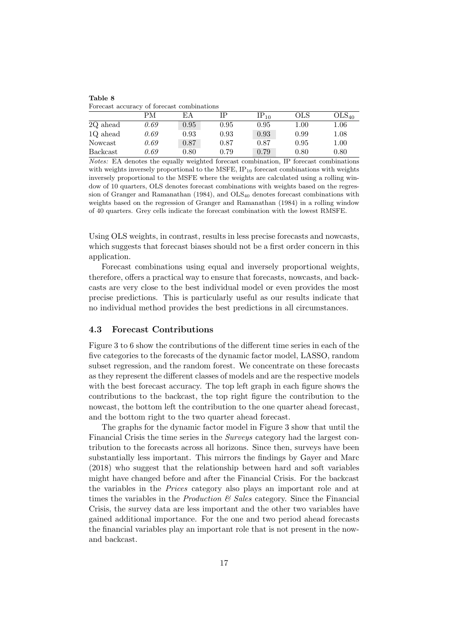|          | Portcast accuracy of fortcast compilations |      |      |           |          |                   |  |  |  |  |  |  |
|----------|--------------------------------------------|------|------|-----------|----------|-------------------|--|--|--|--|--|--|
|          | РM                                         | ΕA   |      | $IP_{10}$ | OLS      | OLS <sub>40</sub> |  |  |  |  |  |  |
| 2Q ahead | 0.69                                       | 0.95 | 0.95 | 0.95      | $1.00\,$ | $1.06\,$          |  |  |  |  |  |  |
| 1Q ahead | 0.69                                       | 0.93 | 0.93 | 0.93      | 0.99     | $1.08\,$          |  |  |  |  |  |  |
| Nowcast  | 0.69                                       | 0.87 | 0.87 | 0.87      | 0.95     | $1.00\,$          |  |  |  |  |  |  |
| Backcast | 0.69                                       | 0.80 | 0.79 | 0.79      | 0.80     | 0.80              |  |  |  |  |  |  |

Forecast accuracy of forecast combinations

Table 8

Notes: EA denotes the equally weighted forecast combination, IP forecast combinations with weights inversely proportional to the MSFE,  $IP_{10}$  forecast combinations with weights inversely proportional to the MSFE where the weights are calculated using a rolling window of 10 quarters, OLS denotes forecast combinations with weights based on the regression of Granger and Ramanathan (1984), and OLS<sup>40</sup> denotes forecast combinations with weights based on the regression of Granger and Ramanathan (1984) in a rolling window of 40 quarters. Grey cells indicate the forecast combination with the lowest RMSFE.

Using OLS weights, in contrast, results in less precise forecasts and nowcasts, which suggests that forecast biases should not be a first order concern in this application.

Forecast combinations using equal and inversely proportional weights, therefore, offers a practical way to ensure that forecasts, nowcasts, and backcasts are very close to the best individual model or even provides the most precise predictions. This is particularly useful as our results indicate that no individual method provides the best predictions in all circumstances.

## 4.3 Forecast Contributions

Figure 3 to 6 show the contributions of the different time series in each of the five categories to the forecasts of the dynamic factor model, LASSO, random subset regression, and the random forest. We concentrate on these forecasts as they represent the different classes of models and are the respective models with the best forecast accuracy. The top left graph in each figure shows the contributions to the backcast, the top right figure the contribution to the nowcast, the bottom left the contribution to the one quarter ahead forecast, and the bottom right to the two quarter ahead forecast.

The graphs for the dynamic factor model in Figure 3 show that until the Financial Crisis the time series in the Surveys category had the largest contribution to the forecasts across all horizons. Since then, surveys have been substantially less important. This mirrors the findings by Gayer and Marc (2018) who suggest that the relationship between hard and soft variables might have changed before and after the Financial Crisis. For the backcast the variables in the Prices category also plays an important role and at times the variables in the *Production*  $\mathcal{B}$  Sales category. Since the Financial Crisis, the survey data are less important and the other two variables have gained additional importance. For the one and two period ahead forecasts the financial variables play an important role that is not present in the nowand backcast.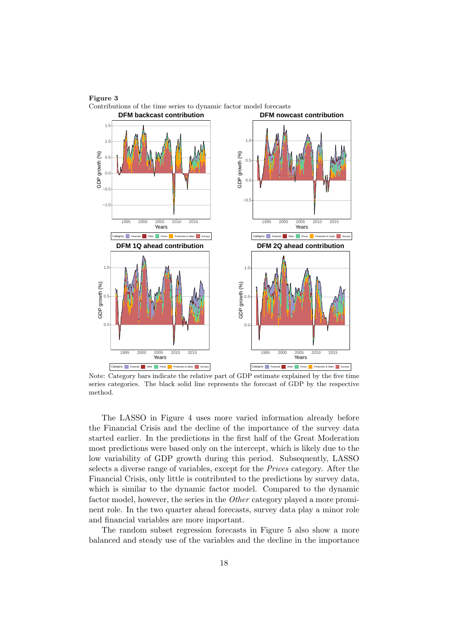

Figure 3 Contributions of the time series to dynamic factor model forecasts

Note: Category bars indicate the relative part of GDP estimate explained by the five time series categories. The black solid line represents the forecast of GDP by the respective method.

The LASSO in Figure 4 uses more varied information already before the Financial Crisis and the decline of the importance of the survey data started earlier. In the predictions in the first half of the Great Moderation most predictions were based only on the intercept, which is likely due to the low variability of GDP growth during this period. Subsequently, LASSO selects a diverse range of variables, except for the Prices category. After the Financial Crisis, only little is contributed to the predictions by survey data, which is similar to the dynamic factor model. Compared to the dynamic factor model, however, the series in the Other category played a more prominent role. In the two quarter ahead forecasts, survey data play a minor role and financial variables are more important.

The random subset regression forecasts in Figure 5 also show a more balanced and steady use of the variables and the decline in the importance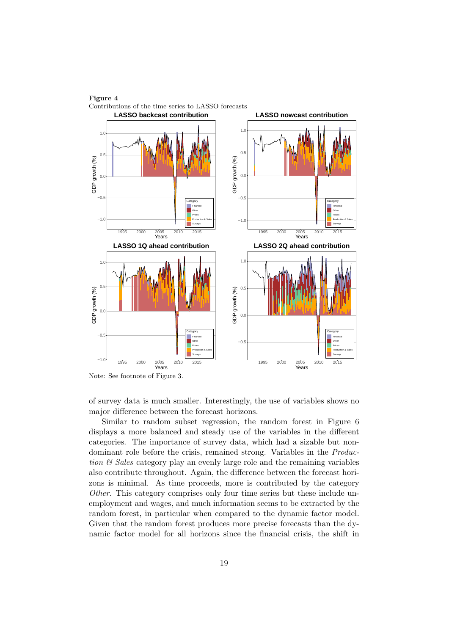



of survey data is much smaller. Interestingly, the use of variables shows no major difference between the forecast horizons.

Similar to random subset regression, the random forest in Figure 6 displays a more balanced and steady use of the variables in the different categories. The importance of survey data, which had a sizable but nondominant role before the crisis, remained strong. Variables in the Production  $\mathcal B$  Sales category play an evenly large role and the remaining variables also contribute throughout. Again, the difference between the forecast horizons is minimal. As time proceeds, more is contributed by the category Other. This category comprises only four time series but these include unemployment and wages, and much information seems to be extracted by the random forest, in particular when compared to the dynamic factor model. Given that the random forest produces more precise forecasts than the dynamic factor model for all horizons since the financial crisis, the shift in

Note: See footnote of Figure 3.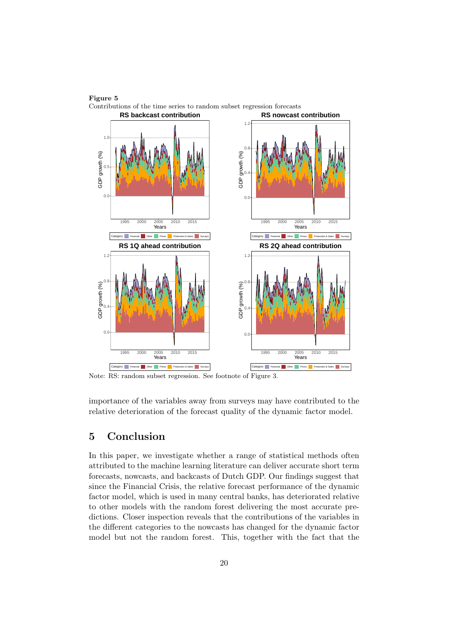



Note: RS: random subset regression. See footnote of Figure 3.

importance of the variables away from surveys may have contributed to the relative deterioration of the forecast quality of the dynamic factor model.

# 5 Conclusion

In this paper, we investigate whether a range of statistical methods often attributed to the machine learning literature can deliver accurate short term forecasts, nowcasts, and backcasts of Dutch GDP. Our findings suggest that since the Financial Crisis, the relative forecast performance of the dynamic factor model, which is used in many central banks, has deteriorated relative to other models with the random forest delivering the most accurate predictions. Closer inspection reveals that the contributions of the variables in the different categories to the nowcasts has changed for the dynamic factor model but not the random forest. This, together with the fact that the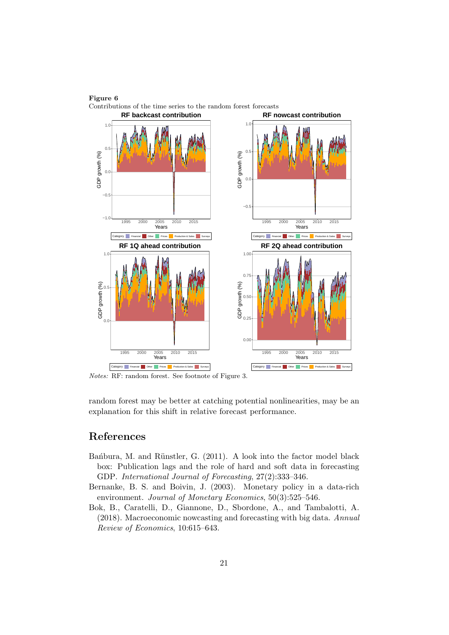# Figure 6



Contributions of the time series to the random forest forecasts

Notes: RF: random forest. See footnote of Figure 3.

random forest may be better at catching potential nonlinearities, may be an explanation for this shift in relative forecast performance.

# References

- Ban<sup>bura</sup>, M. and Rünstler, G. (2011). A look into the factor model black box: Publication lags and the role of hard and soft data in forecasting GDP. International Journal of Forecasting, 27(2):333–346.
- Bernanke, B. S. and Boivin, J. (2003). Monetary policy in a data-rich environment. Journal of Monetary Economics, 50(3):525–546.
- Bok, B., Caratelli, D., Giannone, D., Sbordone, A., and Tambalotti, A. (2018). Macroeconomic nowcasting and forecasting with big data. Annual Review of Economics, 10:615–643.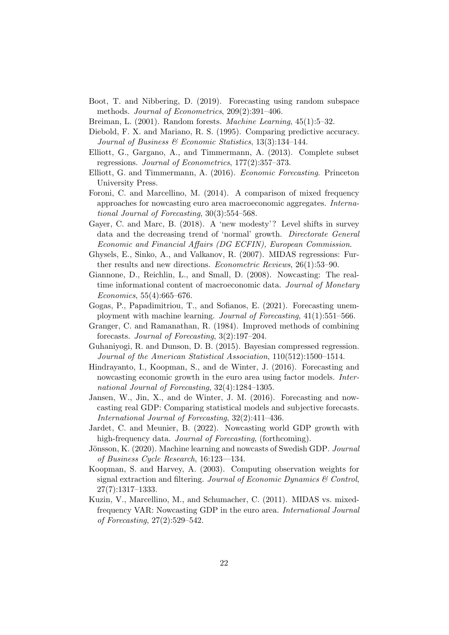- Boot, T. and Nibbering, D. (2019). Forecasting using random subspace methods. Journal of Econometrics, 209(2):391–406.
- Breiman, L. (2001). Random forests. Machine Learning, 45(1):5–32.
- Diebold, F. X. and Mariano, R. S. (1995). Comparing predictive accuracy. Journal of Business & Economic Statistics, 13(3):134–144.
- Elliott, G., Gargano, A., and Timmermann, A. (2013). Complete subset regressions. Journal of Econometrics, 177(2):357–373.
- Elliott, G. and Timmermann, A. (2016). Economic Forecasting. Princeton University Press.
- Foroni, C. and Marcellino, M. (2014). A comparison of mixed frequency approaches for nowcasting euro area macroeconomic aggregates. International Journal of Forecasting, 30(3):554–568.
- Gayer, C. and Marc, B. (2018). A 'new modesty'? Level shifts in survey data and the decreasing trend of 'normal' growth. Directorate General Economic and Financial Affairs (DG ECFIN), European Commission.
- Ghysels, E., Sinko, A., and Valkanov, R. (2007). MIDAS regressions: Further results and new directions. Econometric Reviews, 26(1):53–90.
- Giannone, D., Reichlin, L., and Small, D. (2008). Nowcasting: The realtime informational content of macroeconomic data. Journal of Monetary Economics, 55(4):665–676.
- Gogas, P., Papadimitriou, T., and Sofianos, E. (2021). Forecasting unemployment with machine learning. Journal of Forecasting, 41(1):551–566.
- Granger, C. and Ramanathan, R. (1984). Improved methods of combining forecasts. Journal of Forecasting, 3(2):197–204.
- Guhaniyogi, R. and Dunson, D. B. (2015). Bayesian compressed regression. Journal of the American Statistical Association, 110(512):1500–1514.
- Hindrayanto, I., Koopman, S., and de Winter, J. (2016). Forecasting and nowcasting economic growth in the euro area using factor models. International Journal of Forecasting, 32(4):1284–1305.
- Jansen, W., Jin, X., and de Winter, J. M. (2016). Forecasting and nowcasting real GDP: Comparing statistical models and subjective forecasts. International Journal of Forecasting, 32(2):411–436.
- Jardet, C. and Meunier, B. (2022). Nowcasting world GDP growth with high-frequency data. *Journal of Forecasting*, (forthcoming).
- Jönsson, K. (2020). Machine learning and nowcasts of Swedish GDP. Journal of Business Cycle Research, 16:123––134.
- Koopman, S. and Harvey, A. (2003). Computing observation weights for signal extraction and filtering. Journal of Economic Dynamics & Control, 27(7):1317–1333.
- Kuzin, V., Marcellino, M., and Schumacher, C. (2011). MIDAS vs. mixedfrequency VAR: Nowcasting GDP in the euro area. International Journal of Forecasting, 27(2):529–542.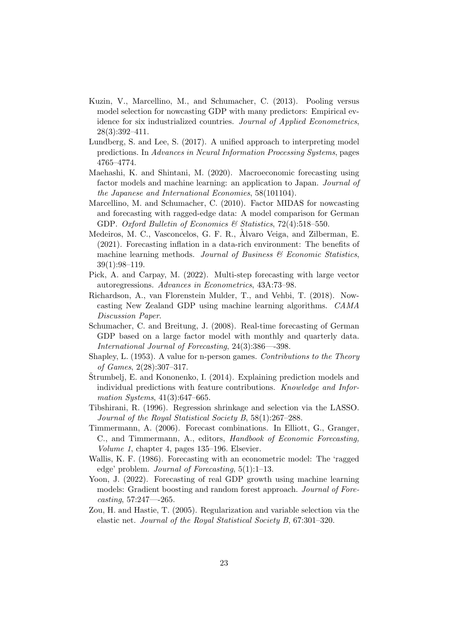- Kuzin, V., Marcellino, M., and Schumacher, C. (2013). Pooling versus model selection for nowcasting GDP with many predictors: Empirical evidence for six industrialized countries. Journal of Applied Econometrics, 28(3):392–411.
- Lundberg, S. and Lee, S. (2017). A unified approach to interpreting model predictions. In Advances in Neural Information Processing Systems, pages 4765–4774.
- Maehashi, K. and Shintani, M. (2020). Macroeconomic forecasting using factor models and machine learning: an application to Japan. Journal of the Japanese and International Economies, 58(101104).
- Marcellino, M. and Schumacher, C. (2010). Factor MIDAS for nowcasting and forecasting with ragged-edge data: A model comparison for German GDP. Oxford Bulletin of Economics & Statistics,  $72(4):518-550$ .
- Medeiros, M. C., Vasconcelos, G. F. R., Alvaro Veiga, and Zilberman, E. ` (2021). Forecasting inflation in a data-rich environment: The benefits of machine learning methods. Journal of Business  $\mathcal C$  Economic Statistics, 39(1):98–119.
- Pick, A. and Carpay, M. (2022). Multi-step forecasting with large vector autoregressions. Advances in Econometrics, 43A:73–98.
- Richardson, A., van Florenstein Mulder, T., and Vehbi, T. (2018). Nowcasting New Zealand GDP using machine learning algorithms. CAMA Discussion Paper.
- Schumacher, C. and Breitung, J. (2008). Real-time forecasting of German GDP based on a large factor model with monthly and quarterly data. International Journal of Forecasting, 24(3):386—-398.
- Shapley, L. (1953). A value for n-person games. Contributions to the Theory of Games, 2(28):307–317.
- $\text{Strumbelj}, E.$  and Kononenko, I. (2014). Explaining prediction models and individual predictions with feature contributions. Knowledge and Information Systems, 41(3):647–665.
- Tibshirani, R. (1996). Regression shrinkage and selection via the LASSO. Journal of the Royal Statistical Society B, 58(1):267–288.
- Timmermann, A. (2006). Forecast combinations. In Elliott, G., Granger, C., and Timmermann, A., editors, Handbook of Economic Forecasting, Volume 1, chapter 4, pages 135–196. Elsevier.
- Wallis, K. F. (1986). Forecasting with an econometric model: The 'ragged edge' problem. Journal of Forecasting, 5(1):1–13.
- Yoon, J. (2022). Forecasting of real GDP growth using machine learning models: Gradient boosting and random forest approach. Journal of Forecasting, 57:247—-265.
- Zou, H. and Hastie, T. (2005). Regularization and variable selection via the elastic net. Journal of the Royal Statistical Society B, 67:301–320.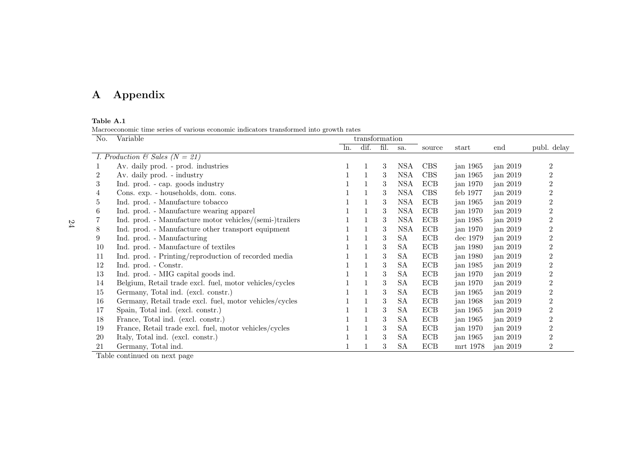# A Appendix

## Table A.1

Macroeconomic time series of various economic indicators transformed into growth rates

| No. | Variable                                                |     | transformation |      |            |            |            |            |                  |
|-----|---------------------------------------------------------|-----|----------------|------|------------|------------|------------|------------|------------------|
|     |                                                         | ln. | dif.           | fil. | sa.        | source     | start      | end        | publ. delay      |
|     | <i>I. Production &amp; Sales (N = 21)</i>               |     |                |      |            |            |            |            |                  |
|     | Av. daily prod. - prod. industries                      |     |                | 3    | <b>NSA</b> | CBS        | jan 1965   | jan $2019$ | $\overline{2}$   |
| 2   | Av. daily prod. - industry                              |     |                | 3    | <b>NSA</b> | <b>CBS</b> | jan 1965   | jan $2019$ | $\overline{2}$   |
| 3   | Ind. prod. - cap. goods industry                        |     |                | 3    | NSA        | ECB        | jan 1970   | jan 2019   | $\overline{2}$   |
| 4   | Cons. exp. - households, dom. cons.                     |     |                | 3    | <b>NSA</b> | CBS        | feb 1977   | jan $2019$ | $\overline{2}$   |
| 5   | Ind. prod. - Manufacture tobacco                        |     |                | 3    | <b>NSA</b> | ECB        | jan 1965   | jan 2019   | $\overline{2}$   |
| 6   | Ind. prod. - Manufacture wearing apparel                |     |                | 3    | <b>NSA</b> | <b>ECB</b> | jan 1970   | jan $2019$ | $\overline{2}$   |
|     | Ind. prod. - Manufacture motor vehicles/(semi-)trailers |     |                | 3    | <b>NSA</b> | ECB        | jan 1985   | jan $2019$ | $\overline{2}$   |
| 8   | Ind. prod. - Manufacture other transport equipment      |     |                | 3    | <b>NSA</b> | <b>ECB</b> | jan 1970   | jan 2019   | $\overline{2}$   |
| 9   | Ind. prod. - Manufacturing                              |     |                | 3    | <b>SA</b>  | ECB        | dec 1979   | jan 2019   | $\overline{2}$   |
| 10  | Ind. prod. - Manufacture of textiles                    |     |                | 3    | SА         | <b>ECB</b> | jan 1980   | jan $2019$ | $\overline{2}$   |
| 11  | Ind. prod. - Printing/reproduction of recorded media    |     |                | 3    | SА         | ECB        | jan 1980   | jan $2019$ | $\overline{2}$   |
| 12  | Ind. prod. - Constr.                                    |     |                | 3    | SА         | ECB        | jan 1985   | jan 2019   | $\overline{2}$   |
| 13  | Ind. prod. - MIG capital goods ind.                     |     |                | 3    | <b>SA</b>  | ECB        | jan 1970   | jan $2019$ | $\overline{2}$   |
| 14  | Belgium, Retail trade excl. fuel, motor vehicles/cycles |     |                | 3    | SА         | ECB        | jan 1970   | jan 2019   | $\overline{2}$   |
| 15  | Germany, Total ind. (excl. constr.)                     |     |                | 3    | SА         | ECB        | jan 1965   | jan $2019$ | $\overline{2}$   |
| 16  | Germany, Retail trade excl. fuel, motor vehicles/cycles |     |                | 3    | SA         | ECB        | jan 1968   | jan $2019$ | 2                |
| 17  | Spain, Total ind. (excl. constr.)                       |     |                | 3    | <b>SA</b>  | ECB        | jan $1965$ | jan $2019$ | $\overline{2}$   |
| 18  | France, Total ind. (excl. constr.)                      |     |                | 3    | SА         | <b>ECB</b> | jan 1965   | jan $2019$ | $\overline{2}$   |
| 19  | France, Retail trade excl. fuel, motor vehicles/cycles  |     |                | 3    | <b>SA</b>  | ECB        | jan 1970   | jan $2019$ | $\overline{2}$   |
| 20  | Italy, Total ind. (excl. constr.)                       |     |                | 3    | SА         | ECB        | jan $1965$ | jan $2019$ | $\boldsymbol{2}$ |
| 21  | Germany, Total ind.                                     |     |                | 3    | <b>SA</b>  | ECB        | mrt 1978   | jan 2019   | $\boldsymbol{2}$ |

Table continued on next page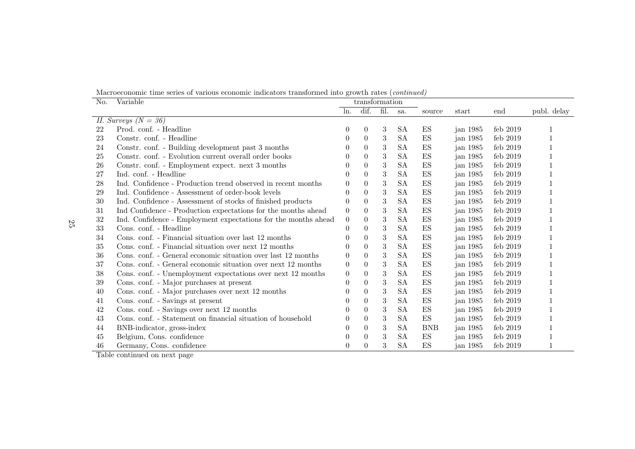Macroeconomic time series of various economic indicators transformed into growth rates (continued)

| No. | Variable                                                       | transformation |                |            |           |            |            |            |             |
|-----|----------------------------------------------------------------|----------------|----------------|------------|-----------|------------|------------|------------|-------------|
|     |                                                                | ln.            | dif.           | fil.       | sa.       | source     | start      | end        | publ. delay |
|     | II. Surveys $(N = 36)$                                         |                |                |            |           |            |            |            |             |
| 22  | Prod. conf. - Headline                                         | $\theta$       | $\theta$       | 3          | <b>SA</b> | ES         | jan 1985   | feb $2019$ |             |
| 23  | Constr. conf. - Headline                                       | $\Omega$       | $\theta$       | 3          | <b>SA</b> | ES         | jan 1985   | feb 2019   |             |
| 24  | Constr. conf. - Building development past 3 months             |                | $\theta$       | 3          | <b>SA</b> | ES         | jan $1985$ | feb $2019$ |             |
| 25  | Constr. conf. - Evolution current overall order books          |                | $\overline{0}$ | 3          | <b>SA</b> | ES         | jan $1985$ | feb 2019   |             |
| 26  | Constr. conf. - Employment expect. next 3 months               |                | $\theta$       | 3          | <b>SA</b> | ES         | jan $1985$ | feb $2019$ |             |
| 27  | Ind. conf. - Headline                                          | $\theta$       | $\theta$       | $\sqrt{3}$ | <b>SA</b> | ES         | jan 1985   | feb $2019$ |             |
| 28  | Ind. Confidence - Production trend observed in recent months   | 0              | $\overline{0}$ | 3          | <b>SA</b> | ES         | jan 1985   | feb 2019   |             |
| 29  | Ind. Confidence - Assessment of order-book levels              | $\left($       | $\Omega$       | 3          | <b>SA</b> | ES         | jan 1985   | feb $2019$ |             |
| 30  | Ind. Confidence - Assessment of stocks of finished products    | 0              | $\overline{0}$ | 3          | <b>SA</b> | ES         | jan 1985   | feb $2019$ |             |
| 31  | Ind Confidence - Production expectations for the months ahead  | $\theta$       | $\overline{0}$ | 3          | <b>SA</b> | ES         | jan 1985   | feb 2019   |             |
| 32  | Ind. Confidence - Employment expectations for the months ahead | $\theta$       | $\theta$       | 3          | <b>SA</b> | ES         | jan 1985   | feb $2019$ |             |
| 33  | Cons. conf. - Headline                                         | $\theta$       | $\theta$       | 3          | <b>SA</b> | ES         | jan 1985   | feb $2019$ |             |
| 34  | Cons. conf. - Financial situation over last 12 months          |                | $\overline{0}$ | 3          | <b>SA</b> | ES         | jan 1985   | feb $2019$ |             |
| 35  | Cons. conf. - Financial situation over next 12 months          |                | $\Omega$       | 3          | <b>SA</b> | ES         | jan $1985$ | feb $2019$ |             |
| 36  | Cons. conf. - General economic situation over last 12 months   | $\theta$       | $\theta$       | $\sqrt{3}$ | <b>SA</b> | ES         | jan 1985   | feb $2019$ |             |
| 37  | Cons. conf. - General economic situation over next 12 months   | $\theta$       | $\overline{0}$ | 3          | <b>SA</b> | ES         | jan 1985   | feb 2019   |             |
| 38  | Cons. conf. - Unemployment expectations over next 12 months    | $\theta$       | $\overline{0}$ | 3          | <b>SA</b> | ES         | jan $1985$ | feb $2019$ |             |
| 39  | Cons. conf. - Major purchases at present                       | 0              | $\theta$       | 3          | <b>SA</b> | ES         | jan 1985   | feb $2019$ |             |
| 40  | Cons. conf. - Major purchases over next 12 months              |                | $\theta$       | 3          | <b>SA</b> | ES         | jan 1985   | feb $2019$ |             |
| 41  | Cons. conf. - Savings at present                               | $\theta$       | $\Omega$       | 3          | <b>SA</b> | ES         | jan 1985   | feb $2019$ |             |
| 42  | Cons. conf. - Savings over next 12 months                      | $\left($       | $\theta$       | 3          | <b>SA</b> | ES         | jan 1985   | feb $2019$ |             |
| 43  | Cons. conf. - Statement on financial situation of household    |                | $\overline{0}$ | 3          | <b>SA</b> | ES         | jan 1985   | feb $2019$ |             |
| 44  | BNB-indicator, gross-index                                     | $\Omega$       | $\theta$       | 3          | <b>SA</b> | <b>BNB</b> | jan $1985$ | feb $2019$ |             |
| 45  | Belgium, Cons. confidence                                      | 0              | $\theta$       | 3          | <b>SA</b> | ES         | jan 1985   | feb $2019$ |             |
| 46  | Germany, Cons. confidence                                      | 0              | $\theta$       | 3          | <b>SA</b> | ES         | jan 1985   | feb $2019$ |             |

Table continued on next page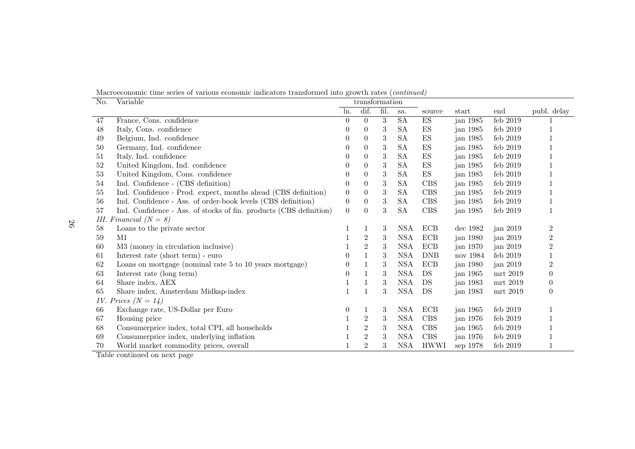Macroeconomic time series of various economic indicators transformed into growth rates (continued)

| No. | Variable                                                           |                | transformation   |                  |            |                          |            |            |                  |
|-----|--------------------------------------------------------------------|----------------|------------------|------------------|------------|--------------------------|------------|------------|------------------|
|     |                                                                    | ln.            | dif.             | fil.             | sa.        | source                   | start      | end        | publ. delay      |
| 47  | France, Cons. confidence                                           | $\theta$       | $\Omega$         | 3                | SA         | ES                       | jan 1985   | feb 2019   |                  |
| 48  | Italy, Cons. confidence                                            |                | $\theta$         | 3                | <b>SA</b>  | ES                       | jan 1985   | feb $2019$ |                  |
| 49  | Belgium, Ind. confidence                                           | $\theta$       | $\theta$         | 3                | <b>SA</b>  | $\mathop{\hbox{\rm ES}}$ | jan 1985   | feb 2019   |                  |
| 50  | Germany, Ind. confidence                                           |                | $\overline{0}$   | 3                | <b>SA</b>  | $\mathop{\hbox{\rm ES}}$ | jan $1985$ | feb 2019   |                  |
| 51  | Italy, Ind. confidence                                             |                | $\overline{0}$   | 3                | <b>SA</b>  | $\mathop{\hbox{\rm ES}}$ | jan 1985   | feb $2019$ |                  |
| 52  | United Kingdom, Ind. confidence                                    | $\theta$       | $\theta$         | $\sqrt{3}$       | <b>SA</b>  | $\mathop{\hbox{\rm ES}}$ | jan 1985   | feb $2019$ |                  |
| 53  | United Kingdom, Cons. confidence                                   |                | $\overline{0}$   | 3                | <b>SA</b>  | ${\rm ES}$               | jan 1985   | feb $2019$ |                  |
| 54  | Ind. Confidence - (CBS definition)                                 | $\overline{0}$ | $\theta$         | 3                | <b>SA</b>  | <b>CBS</b>               | jan 1985   | feb $2019$ |                  |
| 55  | Ind. Confidence - Prod. expect, months ahead (CBS definition)      | $\theta$       | $\boldsymbol{0}$ | $\boldsymbol{3}$ | <b>SA</b>  | CBS                      | jan 1985   | feb 2019   |                  |
| 56  | Ind. Confidence - Ass. of order-book levels (CBS definition)       | $\theta$       | $\overline{0}$   | 3                | <b>SA</b>  | CBS                      | jan 1985   | feb $2019$ |                  |
| 57  | Ind. Confidence - Ass. of stocks of fin. products (CBS definition) | $\overline{0}$ | $\theta$         | 3                | <b>SA</b>  | CBS                      | jan 1985   | feb $2019$ |                  |
|     | III. Financial $(N = 8)$                                           |                |                  |                  |            |                          |            |            |                  |
| 58  | Loans to the private sector                                        |                | 1                | 3                | <b>NSA</b> | <b>ECB</b>               | dec 1982   | jan 2019   | $\boldsymbol{2}$ |
| 59  | M1                                                                 |                | $\boldsymbol{2}$ | 3                | <b>NSA</b> | <b>ECB</b>               | jan 1980   | jan 2019   | $\boldsymbol{2}$ |
| 60  | M3 (money in circulation inclusive)                                |                | $\sqrt{2}$       | 3                | <b>NSA</b> | $\rm ECB$                | jan 1970   | jan 2019   | $\overline{2}$   |
| 61  | Interest rate (short term) - euro                                  | $\theta$       | $\mathbf{1}$     | 3                | <b>NSA</b> | <b>DNB</b>               | nov 1984   | feb $2019$ |                  |
| 62  | Loans on mortgage (nominal rate 5 to 10 years mortgage)            | $\theta$       |                  | 3                | <b>NSA</b> | ECB                      | jan 1980   | jan $2019$ | $\overline{2}$   |
| 63  | Interest rate (long term)                                          | $\Omega$       | 1                | 3                | <b>NSA</b> | DS                       | jan 1965   | mrt 2019   | $\theta$         |
| 64  | Share index, AEX                                                   |                | 1                | $\sqrt{3}$       | <b>NSA</b> | DS                       | jan 1983   | mrt 2019   | $\theta$         |
| 65  | Share index, Amsterdam Midkap-index                                |                | 1                | 3                | <b>NSA</b> | DS                       | jan 1983   | mrt 2019   | $\overline{0}$   |
|     | IV. Prices $(N = 14)$                                              |                |                  |                  |            |                          |            |            |                  |
| 66  | Exchange rate, US-Dollar per Euro                                  | $\theta$       | 1                | 3                | NSA        | ECB                      | jan 1965   | feb $2019$ |                  |
| 67  | Housing price                                                      |                | $\boldsymbol{2}$ | 3                | <b>NSA</b> | <b>CBS</b>               | jan 1976   | feb $2019$ |                  |
| 68  | Consumerprice index, total CPI, all households                     |                | $\,2$            | $\sqrt{3}$       | <b>NSA</b> | CBS                      | jan $1965$ | feb $2019$ |                  |
| 69  | Consumerprice index, underlying inflation                          |                | $\sqrt{2}$       | 3                | <b>NSA</b> | <b>CBS</b>               | jan 1976   | feb $2019$ |                  |
| 70  | World market commodity prices, overall                             |                | $\mathbf{2}$     | 3                | <b>NSA</b> | <b>HWWI</b>              | sep 1978   | feb $2019$ |                  |

Table continued on next page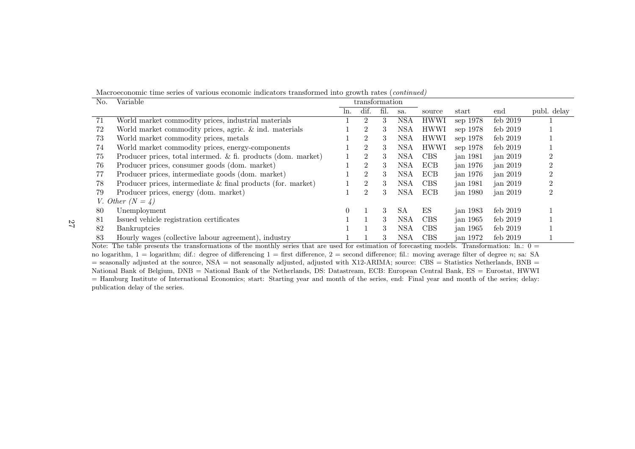Macroeconomic time series of various economic indicators transformed into growth rates (continued)

| No. | Variable                                                        |                  | transformation |      |            |             |                        |            |             |
|-----|-----------------------------------------------------------------|------------------|----------------|------|------------|-------------|------------------------|------------|-------------|
|     |                                                                 | ln.              | dif.           | fil. | sa.        | source      | $\operatorname{start}$ | end        | publ. delay |
| 71  | World market commodity prices, industrial materials             |                  | 2              | 3    | <b>NSA</b> | <b>HWWI</b> | sep 1978               | feb 2019   |             |
| 72  | World market commodity prices, agric. $\&$ ind. materials       |                  | $\overline{2}$ | 3    | <b>NSA</b> | <b>HWWI</b> | sep 1978               | feb $2019$ |             |
| 73  | World market commodity prices, metals                           |                  | 2              | 3    | NSA        | <b>HWWI</b> | sep 1978               | feb $2019$ |             |
| 74  | World market commodity prices, energy-components                |                  | $\overline{2}$ | 3    | NSA        | <b>HWWI</b> | sep 1978               | feb $2019$ |             |
| 75  | Producer prices, total intermed. & fi. products (dom. market)   |                  | $\overline{2}$ | 3    | <b>NSA</b> | <b>CBS</b>  | jan 1981               | jan $2019$ |             |
| 76  | Producer prices, consumer goods (dom. market)                   |                  | $\overline{2}$ | 3    | <b>NSA</b> | <b>ECB</b>  | jan 1976               | jan $2019$ |             |
| 77  | Producer prices, intermediate goods (dom. market)               |                  | 2              | 3    | NSA        | ECB         | jan $1976$             | jan $2019$ |             |
| 78  | Producer prices, intermediate $\&$ final products (for. market) |                  | $\overline{2}$ | 3    | <b>NSA</b> | <b>CBS</b>  | jan 1981               | jan $2019$ |             |
| 79  | Producer prices, energy (dom. market)                           |                  | $\overline{2}$ | 3    | NSA        | <b>ECB</b>  | jan 1980               | jan $2019$ |             |
|     | V. Other $(N = 4)$                                              |                  |                |      |            |             |                        |            |             |
| 80  | Unemployment                                                    | $\left( \right)$ |                | 3    | SA         | ES          | jan 1983               | feb $2019$ |             |
| 81  | Issued vehicle registration certificates                        |                  |                | 3    | NSA        | <b>CBS</b>  | jan 1965               | feb $2019$ |             |
| 82  | <b>Bankruptcies</b>                                             |                  |                | 3    | NSA        | <b>CBS</b>  | $\alpha$ ian 1965      | feb $2019$ |             |
| 83  | Hourly wages (collective labour agreement), industry            |                  |                | 3    | <b>NSA</b> | <b>CBS</b>  | jan 1972               | feb $2019$ |             |

Note: The table presents the transformations of the monthly series that are used for estimation of forecasting models. Transformation: ln.:  $0 =$ no logarithm,  $1 =$  logarithm; dif.: degree of differencing  $1 =$  first difference,  $2 =$  second difference; fil.: moving average filter of degree n; sa: SA  $=$  seasonally adjusted at the source, NSA  $=$  not seasonally adjusted, adjusted with X12-ARIMA; source: CBS  $=$  Statistics Netherlands, BNB  $=$  National Bank of Belgium, DNB <sup>=</sup> National Bank of the Netherlands, DS: Datastream, ECB: European Central Bank, ES <sup>=</sup> Eurostat, HWWI = Hamburg Institute of International Economics; start: Starting year and month of the series, end: Final year and month of the series; delay:publication delay of the series.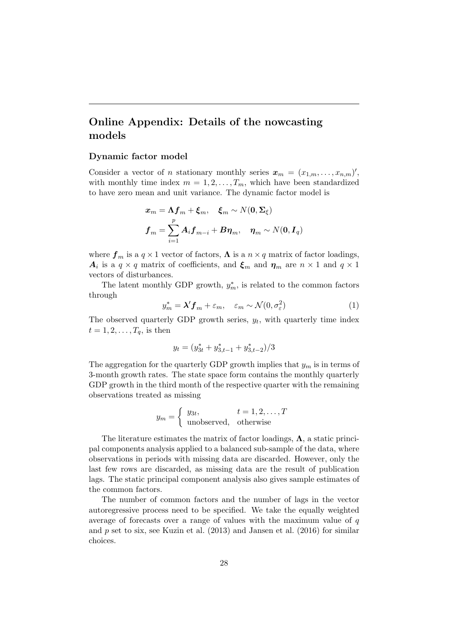# Online Appendix: Details of the nowcasting models

## Dynamic factor model

Consider a vector of *n* stationary monthly series  $\mathbf{x}_m = (x_{1,m}, \ldots, x_{n,m})'$ , with monthly time index  $m = 1, 2, \ldots, T_m$ , which have been standardized to have zero mean and unit variance. The dynamic factor model is

$$
x_m = \Lambda f_m + \xi_m, \quad \xi_m \sim N(\mathbf{0}, \Sigma_{\xi})
$$

$$
f_m = \sum_{i=1}^p A_i f_{m-i} + B \eta_m, \quad \eta_m \sim N(\mathbf{0}, I_q)
$$

where  $f_m$  is a  $q \times 1$  vector of factors,  $\Lambda$  is a  $n \times q$  matrix of factor loadings,  $A_i$  is a  $q \times q$  matrix of coefficients, and  $\xi_m$  and  $\eta_m$  are  $n \times 1$  and  $q \times 1$ vectors of disturbances.

The latent monthly GDP growth,  $y_m^*$ , is related to the common factors through

$$
y_m^* = \lambda' \mathbf{f}_m + \varepsilon_m, \quad \varepsilon_m \sim \mathcal{N}(0, \sigma_\varepsilon^2)
$$
 (1)

The observed quarterly GDP growth series,  $y_t$ , with quarterly time index  $t = 1, 2, \ldots, T_q$ , is then

$$
y_t = (y_{3t}^* + y_{3,t-1}^* + y_{3,t-2}^*)/3
$$

The aggregation for the quarterly GDP growth implies that  $y_m$  is in terms of 3-month growth rates. The state space form contains the monthly quarterly GDP growth in the third month of the respective quarter with the remaining observations treated as missing

$$
y_m = \begin{cases} y_{3t}, & t = 1, 2, \dots, T \\ \text{unobserved}, & \text{otherwise} \end{cases}
$$

The literature estimates the matrix of factor loadings,  $\Lambda$ , a static principal components analysis applied to a balanced sub-sample of the data, where observations in periods with missing data are discarded. However, only the last few rows are discarded, as missing data are the result of publication lags. The static principal component analysis also gives sample estimates of the common factors.

The number of common factors and the number of lags in the vector autoregressive process need to be specified. We take the equally weighted average of forecasts over a range of values with the maximum value of q and  $p$  set to six, see Kuzin et al. (2013) and Jansen et al. (2016) for similar choices.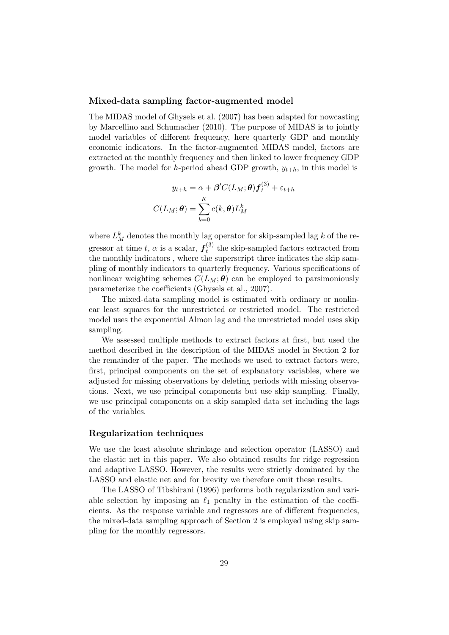## Mixed-data sampling factor-augmented model

The MIDAS model of Ghysels et al. (2007) has been adapted for nowcasting by Marcellino and Schumacher (2010). The purpose of MIDAS is to jointly model variables of different frequency, here quarterly GDP and monthly economic indicators. In the factor-augmented MIDAS model, factors are extracted at the monthly frequency and then linked to lower frequency GDP growth. The model for h-period ahead GDP growth,  $y_{t+h}$ , in this model is

$$
y_{t+h} = \alpha + \beta'C(L_M; \theta) f_t^{(3)} + \varepsilon_{t+h}
$$

$$
C(L_M; \theta) = \sum_{k=0}^{K} c(k, \theta) L_M^k
$$

where  $L_M^k$  denotes the monthly lag operator for skip-sampled lag k of the regressor at time t,  $\alpha$  is a scalar,  $f_t^{(3)}$  $t_t^{(3)}$  the skip-sampled factors extracted from the monthly indicators , where the superscript three indicates the skip sampling of monthly indicators to quarterly frequency. Various specifications of nonlinear weighting schemes  $C(L_M; \theta)$  can be employed to parsimoniously parameterize the coefficients (Ghysels et al., 2007).

The mixed-data sampling model is estimated with ordinary or nonlinear least squares for the unrestricted or restricted model. The restricted model uses the exponential Almon lag and the unrestricted model uses skip sampling.

We assessed multiple methods to extract factors at first, but used the method described in the description of the MIDAS model in Section 2 for the remainder of the paper. The methods we used to extract factors were, first, principal components on the set of explanatory variables, where we adjusted for missing observations by deleting periods with missing observations. Next, we use principal components but use skip sampling. Finally, we use principal components on a skip sampled data set including the lags of the variables.

## Regularization techniques

We use the least absolute shrinkage and selection operator (LASSO) and the elastic net in this paper. We also obtained results for ridge regression and adaptive LASSO. However, the results were strictly dominated by the LASSO and elastic net and for brevity we therefore omit these results.

The LASSO of Tibshirani (1996) performs both regularization and variable selection by imposing an  $\ell_1$  penalty in the estimation of the coefficients. As the response variable and regressors are of different frequencies, the mixed-data sampling approach of Section 2 is employed using skip sampling for the monthly regressors.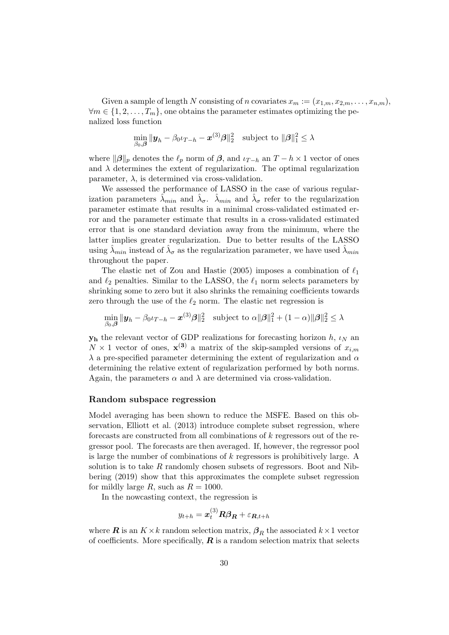Given a sample of length N consisting of n covariates  $x_m := (x_{1,m}, x_{2,m}, \ldots, x_{n,m}),$  $\forall m \in \{1, 2, \ldots, T_m\}$ , one obtains the parameter estimates optimizing the penalized loss function

$$
\min_{\beta_0,\boldsymbol{\beta}} \| \boldsymbol{y}_h - \beta_0 \iota_{T-h} - \boldsymbol{x}^{(3)}\boldsymbol{\beta} \|_2^2 \quad \text{subject to } \|\boldsymbol{\beta}\|_1^2 \leq \lambda
$$

where  $\|\boldsymbol{\beta}\|_p$  denotes the  $\ell_p$  norm of  $\boldsymbol{\beta}$ , and  $\iota_{T-h}$  an  $T-h\times 1$  vector of ones and  $\lambda$  determines the extent of regularization. The optimal regularization parameter,  $\lambda$ , is determined via cross-validation.

We assessed the performance of LASSO in the case of various regularization parameters  $\hat{\lambda}_{min}$  and  $\hat{\lambda}_{\sigma}$ .  $\hat{\lambda}_{min}$  and  $\hat{\lambda}_{\sigma}$  refer to the regularization parameter estimate that results in a minimal cross-validated estimated error and the parameter estimate that results in a cross-validated estimated error that is one standard deviation away from the minimum, where the latter implies greater regularization. Due to better results of the LASSO using  $\hat{\lambda}_{min}$  instead of  $\hat{\lambda}_{\sigma}$  as the regularization parameter, we have used  $\hat{\lambda}_{min}$ throughout the paper.

The elastic net of Zou and Hastie (2005) imposes a combination of  $\ell_1$ and  $\ell_2$  penalties. Similar to the LASSO, the  $\ell_1$  norm selects parameters by shrinking some to zero but it also shrinks the remaining coefficients towards zero through the use of the  $\ell_2$  norm. The elastic net regression is

$$
\min_{\beta_0,\boldsymbol{\beta}} \| \boldsymbol{y}_h - \beta_0 \iota_{T-h} - \boldsymbol{x}^{(3)}\boldsymbol{\beta} \|_2^2 \quad \text{subject to } \alpha \|\boldsymbol{\beta}\|_1^2 + (1-\alpha) \|\boldsymbol{\beta}\|_2^2 \le \lambda
$$

 $y<sub>h</sub>$  the relevant vector of GDP realizations for forecasting horizon h,  $\iota$ <sub>N</sub> an  $N \times 1$  vector of ones,  $\mathbf{x}^{(3)}$  a matrix of the skip-sampled versions of  $x_{i,m}$  $\lambda$  a pre-specified parameter determining the extent of regularization and  $\alpha$ determining the relative extent of regularization performed by both norms. Again, the parameters  $\alpha$  and  $\lambda$  are determined via cross-validation.

## Random subspace regression

Model averaging has been shown to reduce the MSFE. Based on this observation, Elliott et al. (2013) introduce complete subset regression, where forecasts are constructed from all combinations of k regressors out of the regressor pool. The forecasts are then averaged. If, however, the regressor pool is large the number of combinations of k regressors is prohibitively large. A solution is to take R randomly chosen subsets of regressors. Boot and Nibbering (2019) show that this approximates the complete subset regression for mildly large R, such as  $R = 1000$ .

In the nowcasting context, the regression is

$$
y_{t+h} = \boldsymbol{x}_t^{(3)} \boldsymbol{R} \boldsymbol{\beta_R} + \varepsilon_{\boldsymbol{R},t+h}
$$

where **R** is an  $K \times k$  random selection matrix,  $\beta_R$  the associated  $k \times 1$  vector of coefficients. More specifically,  $R$  is a random selection matrix that selects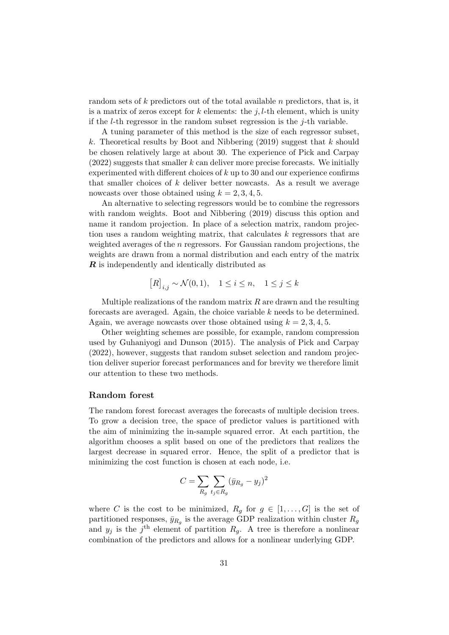random sets of k predictors out of the total available n predictors, that is, it is a matrix of zeros except for k elements: the j, l-th element, which is unity if the *l*-th regressor in the random subset regression is the  $j$ -th variable.

A tuning parameter of this method is the size of each regressor subset, k. Theoretical results by Boot and Nibbering  $(2019)$  suggest that k should be chosen relatively large at about 30. The experience of Pick and Carpay  $(2022)$  suggests that smaller k can deliver more precise forecasts. We initially experimented with different choices of  $k$  up to 30 and our experience confirms that smaller choices of  $k$  deliver better nowcasts. As a result we average nowcasts over those obtained using  $k = 2, 3, 4, 5$ .

An alternative to selecting regressors would be to combine the regressors with random weights. Boot and Nibbering (2019) discuss this option and name it random projection. In place of a selection matrix, random projection uses a random weighting matrix, that calculates k regressors that are weighted averages of the n regressors. For Gaussian random projections, the weights are drawn from a normal distribution and each entry of the matrix **R** is independently and identically distributed as

$$
[R]_{i,j} \sim \mathcal{N}(0,1), \quad 1 \le i \le n, \quad 1 \le j \le k
$$

Multiple realizations of the random matrix  $R$  are drawn and the resulting forecasts are averaged. Again, the choice variable k needs to be determined. Again, we average nowcasts over those obtained using  $k = 2, 3, 4, 5$ .

Other weighting schemes are possible, for example, random compression used by Guhaniyogi and Dunson (2015). The analysis of Pick and Carpay (2022), however, suggests that random subset selection and random projection deliver superior forecast performances and for brevity we therefore limit our attention to these two methods.

## Random forest

The random forest forecast averages the forecasts of multiple decision trees. To grow a decision tree, the space of predictor values is partitioned with the aim of minimizing the in-sample squared error. At each partition, the algorithm chooses a split based on one of the predictors that realizes the largest decrease in squared error. Hence, the split of a predictor that is minimizing the cost function is chosen at each node, i.e.

$$
C = \sum_{R_g} \sum_{t_j \in R_g} (\bar{y}_{R_g} - y_j)^2
$$

where C is the cost to be minimized,  $R_q$  for  $q \in [1, \ldots, G]$  is the set of partitioned responses,  $\bar{y}_{R_g}$  is the average GDP realization within cluster  $R_g$ and  $y_j$  is the j<sup>th</sup> element of partition  $R_g$ . A tree is therefore a nonlinear combination of the predictors and allows for a nonlinear underlying GDP.